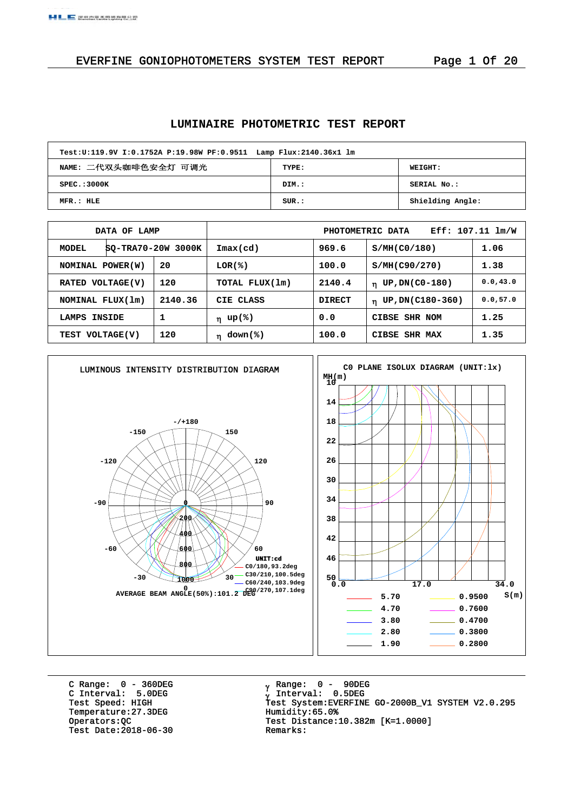## EVERFINE GONIOPHOTOMETERS SYSTEM TEST REPORT Page 1 Of 20

## **LUMINAIRE PHOTOMETRIC TEST REPORT**

| Test:U:119.9V I:0.1752A P:19.98W PF:0.9511 Lamp Flux:2140.36x1 lm |       |                  |  |  |  |  |  |  |  |
|-------------------------------------------------------------------|-------|------------------|--|--|--|--|--|--|--|
| NAME: 二代双头咖啡色安全灯 可调光<br>TYPE:<br><b>WEIGHT:</b>                   |       |                  |  |  |  |  |  |  |  |
| SPEC.:3000K                                                       | DIM.: | SERIAL No.:      |  |  |  |  |  |  |  |
| MFR.: HLE                                                         | SUB.: | Shielding Angle: |  |  |  |  |  |  |  |

|                             | DATA OF LAMP |                            |                |               | PHOTOMETRIC DATA                | $Eff: 107.11 \; lm/W$ |
|-----------------------------|--------------|----------------------------|----------------|---------------|---------------------------------|-----------------------|
| SQ-TRA70-20W 3000K<br>MODEL |              | $\texttt{Imax}(\text{cd})$ | 969.6          | S/MH(C0/180)  | 1.06                            |                       |
| NOMINAL POWER(W)            |              | 20                         | LOR(%)         | 100.0         | S/MH(C90/270)                   | 1.38                  |
| RATED VOLTAGE(V)            |              | 120                        | TOTAL FLUX(1m) | 2140.4        | $\eta$ UP, DN(C0-180)           | 0.0, 43.0             |
| NOMINAL FLUX(1m)            |              | 2140.36                    | CIE CLASS      | <b>DIRECT</b> | UP, DN(C180-360)<br>$\mathbf n$ | 0.0, 57.0             |
| LAMPS                       | INSIDE       | 1                          | η up(%)        | 0.0           | CIBSE SHR NOM                   | 1.25                  |
| TEST VOLTAGE(V)             |              | 120                        | $η$ down(%)    | 100.0         | CIBSE SHR MAX                   | 1.35                  |



C Range: 0 - 360DEG C Interval: 5.0DEG Temperature:27.3DEG Humidity:65.0%<br>Operators:QC Test Distance: Test Date:  $2018-06-30$ 

 Range: 0 - 90DEG Interval: 0.5DEG Test Speed: HIGH Test System:EVERFINE GO-2000B\_V1 SYSTEM V2.0.295 Test Distance:10.382m [K=1.0000]<br>Remarks: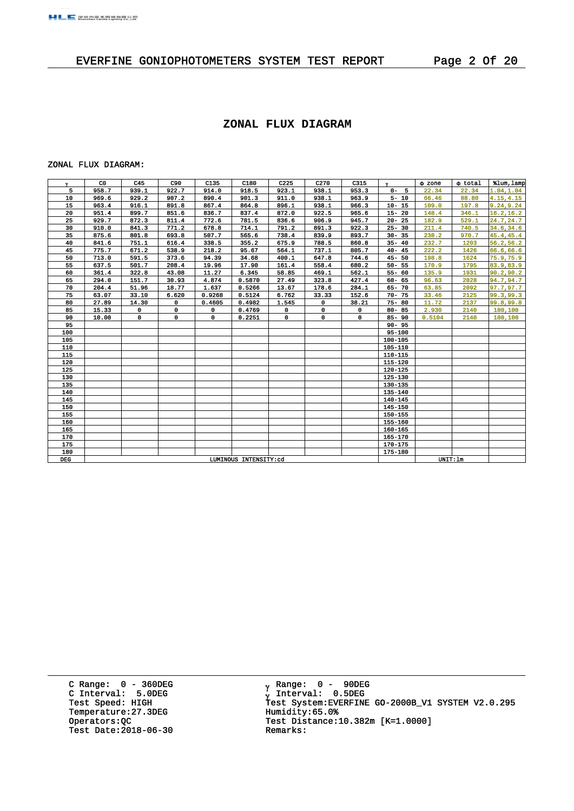## EVERFINE GONIOPHOTOMETERS SYSTEM TEST REPORT Page 2 Of 20

#### **ZONAL FLUX DIAGRAM**

#### ZONAL FLUX DIAGRAM:

| Y          | C <sub>0</sub> | C45         | C90          | C135                  | C180   | C <sub>225</sub> | C <sub>270</sub> | C315  | $\mathbf{v}$ | $\Phi$ zone | o total | %lum, lamp |
|------------|----------------|-------------|--------------|-----------------------|--------|------------------|------------------|-------|--------------|-------------|---------|------------|
| 5          | 958.7          | 939.1       | 922.7        | 914.0                 | 918.5  | 923.1            | 938.1            | 953.3 | $0 - 5$      | 22.34       | 22.34   | 1.04, 1.04 |
| 10         | 969.6          | 929.2       | 907.2        | 890.4                 | 901.3  | 911.0            | 938.1            | 963.9 | $5 - 10$     | 66.46       | 88.80   | 4.15, 4.15 |
| 15         | 963.4          | 916.1       | 891.8        | 867.4                 | 864.8  | 896.1            | 938.1            | 966.3 | $10 - 15$    | 109.0       | 197.8   | 9.24, 9.24 |
| 20         | 951.4          | 899.7       | 851.6        | 836.7                 | 837.4  | 872.0            | 922.5            | 965.6 | $15 - 20$    | 148.4       | 346.1   | 16.2, 16.2 |
| 25         | 929.7          | 872.3       | 811.4        | 772.6                 | 781.5  | 836.6            | 906.9            | 945.7 | $20 - 25$    | 182.9       | 529.1   | 24.7,24.7  |
| 30         | 910.0          | 841.3       | 771.2        | 678.8                 | 714.1  | 791.2            | 891.3            | 922.3 | $25 - 30$    | 211.4       | 740.5   | 34.6,34.6  |
| 35         | 875.6          | 801.8       | 693.8        | 507.7                 | 565.6  | 738.4            | 839.9            | 893.7 | $30 - 35$    | 230.2       | 970.7   | 45.4,45.4  |
| 40         | 841.6          | 751.1       | 616.4        | 338.5                 | 355.2  | 675.9            | 788.5            | 860.8 | $35 - 40$    | 232.7       | 1203    | 56.2,56.2  |
| 45         | 775.7          | 671.2       | 538.9        | 218.2                 | 95.67  | 564.1            | 737.1            | 805.7 | $40 - 45$    | 222.2       | 1426    | 66.6,66.6  |
| 50         | 713.0          | 591.5       | 373.6        | 94.39                 | 34.68  | 400.1            | 647.8            | 744.6 | $45 - 50$    | 198.8       | 1624    | 75.9,75.9  |
| 55         | 637.5          | 501.7       | 208.4        | 19.96                 | 17.90  | 161.4            | 558.4            | 680.2 | $50 - 55$    | 170.9       | 1795    | 83.9,83.9  |
| 60         | 361.4          | 322.8       | 43.08        | 11.27                 | 6.345  | 58.85            | 469.1            | 562.1 | $55 - 60$    | 135.9       | 1931    | 90.2,90.2  |
| 65         | 294.0          | 151.7       | 30.93        | 4.874                 | 0.5870 | 27.49            | 323.8            | 427.4 | $60 - 65$    | 96.63       | 2028    | 94.7,94.7  |
| 70         | 204.4          | 51.96       | 18.77        | 1.637                 | 0.5266 | 13.67            | 178.6            | 284.1 | 65-70        | 63.85       | 2092    | 97.7,97.7  |
| 75         | 63.07          | 33.10       | 6.620        | 0.9268                | 0.5124 | 6.762            | 33.33            | 152.6 | $70 - 75$    | 33.46       | 2125    | 99.3,99.3  |
| 80         | 27.89          | 14.30       | $\mathbf{0}$ | 0.4605                | 0.4982 | 1.545            | 0                | 38.21 | $75 - 80$    | 11.72       | 2137    | 99.8,99.8  |
| 85         | 15.33          | $\mathbf 0$ | 0            | 0                     | 0.4769 | 0                | 0                | 0     | $80 - 85$    | 2.930       | 2140    | 100,100    |
| 90         | 10.00          | 0           | 0            | 0                     | 0.2251 | $\mathbf 0$      | 0                | 0     | $85 - 90$    | 0.5104      | 2140    | 100,100    |
| 95         |                |             |              |                       |        |                  |                  |       | $90 - 95$    |             |         |            |
| 100        |                |             |              |                       |        |                  |                  |       | 95-100       |             |         |            |
| 105        |                |             |              |                       |        |                  |                  |       | 100-105      |             |         |            |
| 110        |                |             |              |                       |        |                  |                  |       | 105-110      |             |         |            |
| 115        |                |             |              |                       |        |                  |                  |       | 110-115      |             |         |            |
| 120        |                |             |              |                       |        |                  |                  |       | 115-120      |             |         |            |
| 125        |                |             |              |                       |        |                  |                  |       | 120-125      |             |         |            |
| 130        |                |             |              |                       |        |                  |                  |       | 125-130      |             |         |            |
| 135        |                |             |              |                       |        |                  |                  |       | 130-135      |             |         |            |
| 140        |                |             |              |                       |        |                  |                  |       | 135-140      |             |         |            |
| 145        |                |             |              |                       |        |                  |                  |       | 140-145      |             |         |            |
| 150        |                |             |              |                       |        |                  |                  |       | 145-150      |             |         |            |
| 155        |                |             |              |                       |        |                  |                  |       | 150-155      |             |         |            |
| 160        |                |             |              |                       |        |                  |                  |       | 155-160      |             |         |            |
| 165        |                |             |              |                       |        |                  |                  |       | 160-165      |             |         |            |
| 170        |                |             |              |                       |        |                  |                  |       | 165-170      |             |         |            |
| 175        |                |             |              |                       |        |                  |                  |       | 170-175      |             |         |            |
| 180        |                |             |              |                       |        |                  |                  |       | 175-180      |             |         |            |
| <b>DEG</b> |                |             |              | LUMINOUS INTENSITY:cd |        |                  | UNIT:lm          |       |              |             |         |            |

C Range: 0 - 360DEG C Interval: 5.0DEG Temperature:27.3DEG Humidity:65.0%<br>Operators:QC Test Distance: Test Date:  $2018-06-30$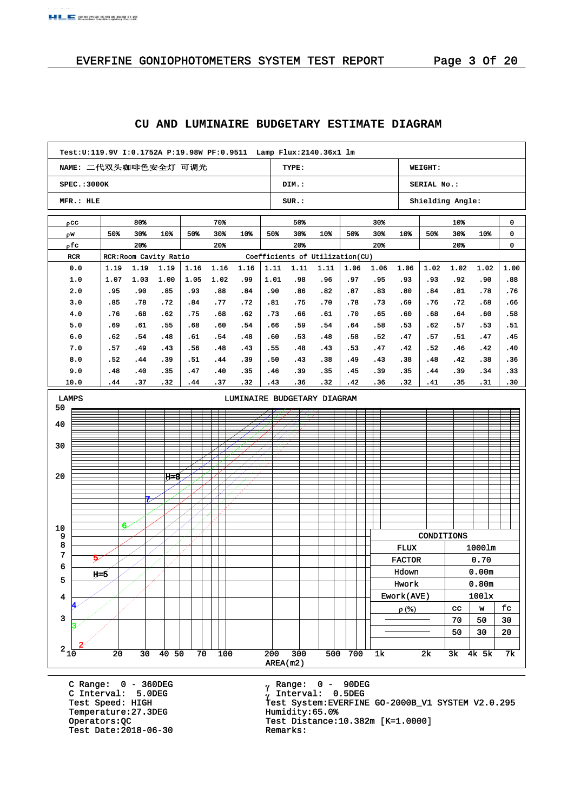**A BULLEY DRUIN PD WORK PRIME PD PRI SCIENCE** 

| Test:U:119.9V I:0.1752A P:19.98W PF:0.9511                                 Lamp Flux:2140.36x1    lm |            |            |             |            |             |            |            |            |            |              |            |               |                  |             |            |            |
|------------------------------------------------------------------------------------------------------|------------|------------|-------------|------------|-------------|------------|------------|------------|------------|--------------|------------|---------------|------------------|-------------|------------|------------|
| NAME: 二代双头咖啡色安全灯 可调光                                                                                 |            |            |             |            |             |            |            | TYPE:      |            |              |            |               | WEIGHT:          |             |            |            |
| SPEC.: 3000K                                                                                         |            |            |             |            |             |            |            | DIM.:      |            |              |            |               | SERIAL No.:      |             |            |            |
| MFR.: HLE                                                                                            |            |            |             |            |             |            |            | SUR.:      |            |              |            |               | Shielding Angle: |             |            |            |
| ρcc                                                                                                  |            | 80%        |             |            | 70%         |            |            | 50%        |            |              | 30%        |               |                  | $10*$       |            | 0          |
| ρw                                                                                                   | 50%        | 30%        | 10%         | 50%        | 30%         | $10*$      | 50%        | 30%        | 10%        | 50%          | 30%        | $10*$         | 50%              | 30%         | $10*$      | 0          |
| ρfc                                                                                                  |            | 20%        |             |            | 20%         |            |            | 20%        |            |              | 20%        |               |                  | 20%         |            | 0          |
| RCR: Room Cavity Ratio<br>Coefficients of Utilization(CU)<br><b>RCR</b>                              |            |            |             |            |             |            |            |            |            |              |            |               |                  |             |            |            |
| 0.0                                                                                                  | 1.19       | 1.19       | 1.19        | 1.16       | 1.16        | 1.16       | 1.11       | 1.11       | 1.11       | 1.06         | 1.06       | 1.06          | 1.02             | 1.02        | 1.02       | 1.00       |
| 1.0                                                                                                  | 1.07       | 1.03       | 1.00        | 1.05       | 1.02        | .99        | 1.01       | .98        | .96        | .97          | .95        | .93           | .93              | .92         | .90        | .88        |
| 2.0                                                                                                  | .95        | .90        | .85         | .93        | .88         | .84        | .90        | .86        | .82        | .87          | .83        | .80           | .84              | .81         | .78        | .76        |
| 3.0                                                                                                  | .85        | .78        | .72         | .84        | .77         | .72        | .81        | .75        | .70        | .78          | .73        | .69           | .76              | .72         | .68        | .66        |
| 4.0                                                                                                  | .76        | .68        | .62         | .75        | .68         | .62        | .73        | .66        | .61        | .70          | .65        | .60           | .68              | .64         | .60        | .58        |
| 5.0                                                                                                  | .69        | .61        | .55         | .68        | .60         | .54        | .66        | .59        | .54        | . 64         | .58        | . 53          | . 62             | .57         | .53        | .51        |
| 6.0                                                                                                  | .62        | . 54       | .48         | .61        | .54         | .48        | .60        | .53        | .48        | .58          | .52        | .47           | .57              | .51         | .47        | .45        |
| 7.0                                                                                                  | .57        | . 49       | .43         | .56        | .48         | .43        | .55        | .48        | .43        | .53          | .47        | .42           | .52              | .46         | . 42       | .40        |
| 8.0                                                                                                  | .52        | . 44       | .39<br>.35  | .51        | .44         | .39<br>.35 | .50<br>.46 | .43        | .38<br>.35 | . 49         | .43        | .38           | . 48             | . 42        | .38        | .36<br>.33 |
| 9.0<br>10.0                                                                                          | .48<br>.44 | .40<br>.37 | .32         | .47<br>.44 | . 40<br>.37 | .32        | .43        | .39<br>.36 | .32        | . 45<br>. 42 | .39<br>.36 | .35<br>.32    | .44<br>. 41      | . 39<br>.35 | .34<br>.31 | .30        |
| LUMINAIRE BUDGETARY DIAGRAM                                                                          |            |            |             |            |             |            |            |            |            |              |            |               |                  |             |            |            |
| LAMPS                                                                                                |            |            |             |            |             |            |            |            |            |              |            |               |                  |             |            |            |
| 50                                                                                                   |            |            |             |            |             |            |            |            |            |              |            |               |                  |             |            |            |
| 40                                                                                                   |            |            |             |            |             |            |            |            |            |              |            |               |                  |             |            |            |
|                                                                                                      |            |            |             |            |             |            |            |            |            |              |            |               |                  |             |            |            |
| 30                                                                                                   |            |            |             |            |             |            |            |            |            |              |            |               |                  |             |            |            |
|                                                                                                      |            |            |             |            |             |            |            |            |            |              |            |               |                  |             |            |            |
| 20                                                                                                   |            |            | н≠8         |            |             |            |            |            |            |              |            |               |                  |             |            |            |
|                                                                                                      |            |            |             |            |             |            |            |            |            |              |            |               |                  |             |            |            |
|                                                                                                      |            |            |             |            |             |            |            |            |            |              |            |               |                  |             |            |            |
|                                                                                                      |            |            |             |            |             |            |            |            |            |              |            |               |                  |             |            |            |
|                                                                                                      |            |            |             |            |             |            |            |            |            |              |            |               |                  |             |            |            |
| 10                                                                                                   |            | 6          |             |            |             |            |            |            |            |              |            |               | CONDITIONS       |             |            |            |
| 9<br>8                                                                                               |            |            |             |            |             |            |            |            |            |              |            | <b>FLUX</b>   |                  |             | 1000lm     |            |
| 7                                                                                                    |            |            |             |            |             |            |            |            |            |              |            |               |                  |             | 0.70       |            |
| 6                                                                                                    |            |            |             |            |             |            |            |            |            |              |            | <b>FACTOR</b> |                  |             |            |            |
| 5                                                                                                    | $H = 5$    |            |             |            |             |            |            |            |            |              |            | Hdown         |                  |             | 0.00m      |            |
|                                                                                                      |            |            |             |            |             |            |            |            |            |              |            | Hwork         |                  |             | 0.80m      |            |
| 4                                                                                                    |            |            |             |            |             |            |            |            |            |              |            | Ework(AVE)    |                  |             | 1001x      |            |
| 3                                                                                                    |            |            |             |            |             |            |            |            |            |              |            | $\rho$ (%)    |                  | cc          | W          | fc         |
|                                                                                                      |            |            |             |            |             |            |            |            |            |              |            |               |                  | 70          | 50         | 30         |
|                                                                                                      |            |            |             |            |             |            |            |            |            |              |            |               |                  | 50          | 30         | 20         |
| $2_{10}$                                                                                             | 20         | 30         | $40\quad50$ | 70         | 100         |            | 200        | 300        |            | 500 700      | 1k         |               | 2k               | 3k          | 4k 5k      | 7k         |
|                                                                                                      |            |            |             |            |             |            |            | AREA(m2)   |            |              |            |               |                  |             |            |            |
|                                                                                                      |            |            |             |            |             |            |            |            |            |              |            |               |                  |             |            |            |

## **CU AND LUMINAIRE BUDGETARY ESTIMATE DIAGRAM**

C Range: 0 - 360DEG C Interval: 5.0DEG Temperature:27.3DEG Humidity:65.0%<br>Operators:QC Test Distance: Test Date:  $2018-06-30$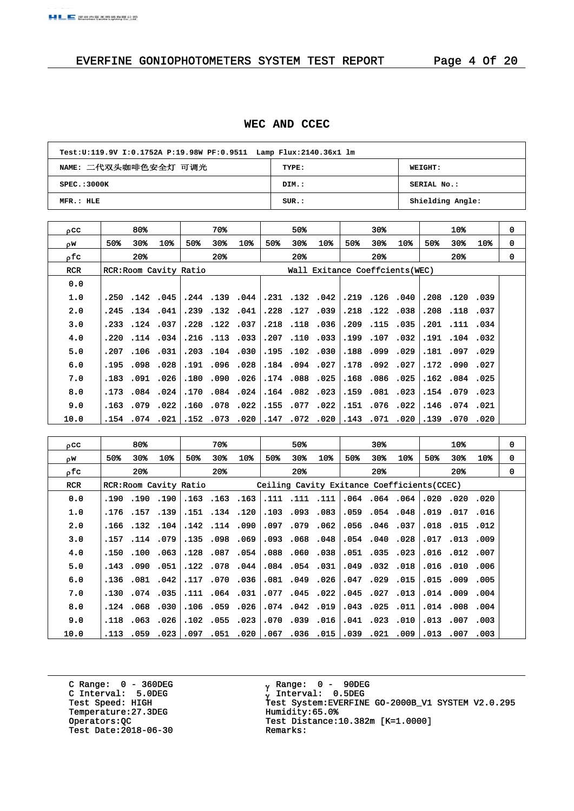#### **WEC AND CCEC**

| Test:U:119.9V I:0.1752A P:19.98W PF:0.9511 Lamp Flux:2140.36x1 lm |       |                  |  |  |  |  |  |  |  |
|-------------------------------------------------------------------|-------|------------------|--|--|--|--|--|--|--|
| NAME: 二代双头咖啡色安全灯 可调光<br>TYPE:<br>WEIGHT:                          |       |                  |  |  |  |  |  |  |  |
| SPEC.:3000K                                                       | DIM.: | SERIAL No.:      |  |  |  |  |  |  |  |
| MFR.: HLE                                                         | SUR:  | Shielding Angle: |  |  |  |  |  |  |  |

| 0CC        |       | 80%          |                        |     | 70%            |                |      | 50%          |                                 |     | 30%            |      |      | 10%            |                 | 0 |
|------------|-------|--------------|------------------------|-----|----------------|----------------|------|--------------|---------------------------------|-----|----------------|------|------|----------------|-----------------|---|
| οW.        | 50%   | 30%          | 10%                    | 50% | 30%            | 10%            | 50%  | 30%          | 10%                             | 50% | 30%            | 10%  | 50%  | 30%            | 10 <sub>3</sub> | 0 |
| ofc.       |       | $20*$        |                        |     | $20*$          |                |      | $20*$        |                                 |     | $20*$          |      |      | $20*$          |                 | 0 |
| <b>RCR</b> |       |              | RCR: Room Cavity Ratio |     |                |                |      |              | Wall Exitance Coeffcients (WEC) |     |                |      |      |                |                 |   |
| 0.0        |       |              |                        |     |                |                |      |              |                                 |     |                |      |      |                |                 |   |
| 1.0        |       | .250.142.045 |                        |     |                | .244.139.044   |      |              | .231 .132 .042                  |     | .219.126.040   |      |      | .208.120.039   |                 |   |
| 2.0        | .245  | .134.041     |                        |     | .239 .132 .041 |                |      | .228.127     | .039                            |     | .218.122.038   |      |      | .208.118.037   |                 |   |
| 3.0        | . 233 | .124.037     |                        |     | .228.122.037   |                |      |              | .218.118.036                    |     | .209.115.035   |      |      | .201 .111 .034 |                 |   |
| 4.0        | .220  |              | $.114$ $.034$          |     | .216 .113 .033 |                | .207 | .110         | .033                            |     | .199.107       | .032 | .191 | .104.032       |                 |   |
| 5.0        | .207  |              | $.106$ $.031$          |     |                | .203.104.030   |      |              | .195.102.030                    |     | .188.099.029   |      |      | .181 .097 .029 |                 |   |
| 6.0        | . 195 | .098         | .028                   |     | .191 .096 .028 |                |      | .184.094.027 |                                 |     | .178.092.027   |      | .172 | .090           | .027            |   |
| 7.0        | .183  |              | .091 .026              |     | .180.090.026   |                |      |              | .174.088.025                    |     | .168.086.025   |      |      | .162.084.025   |                 |   |
| 8.0        | .173  | .084         | .024                   |     | .170.084.024   |                |      | .164.082     | .023                            |     | .159.081.023   |      | .154 | .079.023       |                 |   |
| 9.0        | .163  | .079         | .022                   |     | .160 .078 .022 |                |      |              | .155 .077 .022                  |     | .151 .076 .022 |      |      | .146 .074 .021 |                 |   |
| 10.0       | .154  | .074         | .021                   |     |                | .152 .073 .020 | .147 | .072         | .020                            |     | .143 .071 .020 |      | .139 | .070           | .020            |   |

| 0CC        |      | 80%          |          |                       | 70%                  |                 |      | 50%                  |                 |          | $30*$                |                                             |      | 10 <sup>8</sup> |                 | 0 |
|------------|------|--------------|----------|-----------------------|----------------------|-----------------|------|----------------------|-----------------|----------|----------------------|---------------------------------------------|------|-----------------|-----------------|---|
| ρW         | 50%  | 30%          | 10%      | 50%                   | 30%                  | 10 <sub>3</sub> | 50%  | 30%                  | 10 <sub>3</sub> | 50%      | 30%                  | 10%                                         | 50%  | 30%             | 10 <sub>3</sub> | 0 |
| ofc.       |      | 20%          |          |                       | $20*$                |                 |      | 20 <sup>3</sup>      |                 |          | $20*$                |                                             |      | $20*$           |                 | 0 |
| <b>RCR</b> |      |              |          | RCR:Room Cavity Ratio |                      |                 |      |                      |                 |          |                      | Ceiling Cavity Exitance Coefficients (CCEC) |      |                 |                 |   |
| 0.0        | .190 | .190.190     |          |                       | .163.163.163         |                 |      | .111 .111 .111       |                 |          | .064.064.064         |                                             |      | .020.020        | .020            |   |
| 1.0        |      | .176.157.139 |          |                       | .151 .134 .120       |                 |      | .103.093.083         |                 |          | $.059$ $.054$ $.048$ |                                             |      | .019 .017       | .016            |   |
| 2.0        | .166 |              | .132.104 |                       | .142.114.090         |                 | .097 | .079                 | .062            |          | .056.046.037         |                                             | .018 | .015            | .012            |   |
| 3.0        |      | .157.114.079 |          |                       | .135 .098 .069       |                 |      | 093.068.048          |                 |          | .054.040.028         |                                             |      | .017 .013 .009  |                 |   |
| 4.0        | .150 | .100         | .063     |                       | .128.087             | .054            | .088 | .060.038             |                 |          | .051 .035            | .023                                        | .016 | .012 .007       |                 |   |
| 5.0        | .143 |              | .090.051 |                       | .122 .078 .044       |                 |      | $.084$ $.054$ $.031$ |                 |          | .049 .032 .018       |                                             |      | .016 .010       | .006            |   |
| 6.0        | .136 |              | .081.042 | .117                  |                      | .070.036        | .081 | .049.026             |                 |          | .047.029             | .015                                        |      | .015 .009       | .005            |   |
| 7.0        | .130 |              | .074.035 |                       | .111 .064 .031       |                 |      | .077.045.022         |                 |          | .045.027.013         |                                             |      | .014 .009 .004  |                 |   |
| 8.0        | .124 | .068         | .030     |                       | .106 .059 .026       |                 |      | .074.042.019         |                 | .043     | .025                 | .011                                        |      | .014 .008 .004  |                 |   |
| 9.0        | .118 |              | .063.026 |                       | $.102$ $.055$ $.023$ |                 |      | .070.039.016         |                 |          | .041 .023 .010       |                                             |      | .013 .007 .003  |                 |   |
| 10.0       | .113 |              | .059.023 | .097                  |                      | .051 .020       |      | .067.036.015         |                 | 039 021. |                      | .009                                        |      | .013 .007       | .003            |   |

C Range: 0 - 360DEG C Interval: 5.0DEG Temperature:27.3DEG Humidity:65.0%<br>Operators:QC Test Distance: Test Date:  $2018-06-30$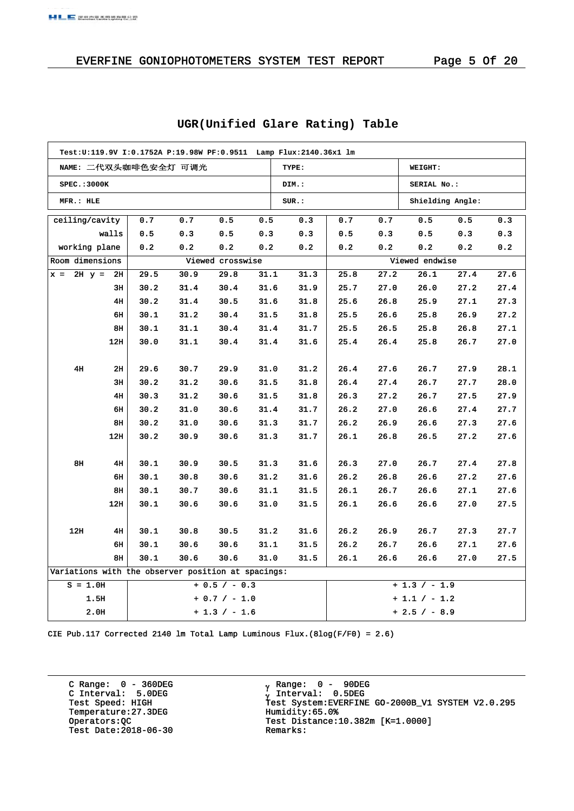## EVERFINE GONIOPHOTOMETERS SYSTEM TEST REPORT Page 5 Of 20

| Test:U:119.9V I:0.1752A P:19.98W PF:0.9511 Lamp Flux:2140.36x1 lm |       |                      |      |                  |      |       |      |               |                |                                                                                                                                                                                                                                                                                            |      |  |  |
|-------------------------------------------------------------------|-------|----------------------|------|------------------|------|-------|------|---------------|----------------|--------------------------------------------------------------------------------------------------------------------------------------------------------------------------------------------------------------------------------------------------------------------------------------------|------|--|--|
|                                                                   |       | NAME: 二代双头咖啡色安全灯 可调光 |      |                  |      | TYPE: |      |               | WEIGHT:        | Shielding Angle:<br>0.5<br>0.3<br>0.3<br>0.3<br>0.2<br>0.2<br>27.6<br>27.4<br>27.4<br>27.2<br>27.1<br>27.3<br>26.9<br>27.2<br>26.8<br>27.1<br>26.7<br>27.0<br>27.9<br>28.1<br>28.0<br>27.7<br>27.5<br>27.9<br>27.4<br>27.7<br>27.3<br>27.6<br>27.2<br>27.6<br>27.4<br>27.8<br>27.2<br>27.6 |      |  |  |
| <b>SPEC.: 3000K</b>                                               |       |                      |      |                  |      | DIM.: |      |               | SERIAL No.:    |                                                                                                                                                                                                                                                                                            |      |  |  |
| MFR.: HLE                                                         |       |                      |      |                  |      | SUR.: |      |               |                |                                                                                                                                                                                                                                                                                            |      |  |  |
| ceiling/cavity                                                    |       | 0.7                  | 0.7  | 0.5              | 0.5  | 0.3   | 0.7  | 0.7           | 0.5            |                                                                                                                                                                                                                                                                                            |      |  |  |
|                                                                   | walls | 0.5                  | 0.3  | 0.5              | 0.3  | 0.3   | 0.5  | 0.3           | 0.5            |                                                                                                                                                                                                                                                                                            |      |  |  |
| working plane                                                     |       | 0.2                  | 0.2  | 0.2              | 0.2  | 0.2   | 0.2  | 0.2           | 0.2            |                                                                                                                                                                                                                                                                                            |      |  |  |
| Room dimensions                                                   |       |                      |      | Viewed crosswise |      |       |      |               | Viewed endwise |                                                                                                                                                                                                                                                                                            |      |  |  |
| $2H y = 2H$<br>$x =$                                              |       | 29.5                 | 30.9 | 29.8             | 31.1 | 31.3  | 25.8 | 27.2          | 26.1           |                                                                                                                                                                                                                                                                                            |      |  |  |
|                                                                   | 3н    | 30.2                 | 31.4 | 30.4             | 31.6 | 31.9  | 25.7 | 27.0          | 26.0           |                                                                                                                                                                                                                                                                                            |      |  |  |
|                                                                   | 4H    | 30.2                 | 31.4 | 30.5             | 31.6 | 31.8  | 25.6 | 26.8          | 25.9           |                                                                                                                                                                                                                                                                                            |      |  |  |
|                                                                   | 6н    | 30.1                 | 31.2 | 30.4             | 31.5 | 31.8  | 25.5 | 26.6          | 25.8           |                                                                                                                                                                                                                                                                                            |      |  |  |
|                                                                   | 8H    | 30.1                 | 31.1 | 30.4             | 31.4 | 31.7  | 25.5 | 26.5          | 25.8           |                                                                                                                                                                                                                                                                                            |      |  |  |
|                                                                   | 12H   | 30.0                 | 31.1 | 30.4             | 31.4 | 31.6  | 25.4 | 26.4          | 25.8           |                                                                                                                                                                                                                                                                                            |      |  |  |
|                                                                   |       |                      |      |                  |      |       |      |               |                |                                                                                                                                                                                                                                                                                            |      |  |  |
| 4H                                                                | 2H    | 29.6                 | 30.7 | 29.9             | 31.0 | 31.2  | 26.4 | 27.6          | 26.7           |                                                                                                                                                                                                                                                                                            |      |  |  |
|                                                                   | 3H    | 30.2                 | 31.2 | 30.6             | 31.5 | 31.8  | 26.4 | 27.4          | 26.7           |                                                                                                                                                                                                                                                                                            |      |  |  |
|                                                                   | 4H    | 30.3                 | 31.2 | 30.6             | 31.5 | 31.8  | 26.3 | 27.2          | 26.7           |                                                                                                                                                                                                                                                                                            |      |  |  |
|                                                                   | 6н    | 30.2                 | 31.0 | 30.6             | 31.4 | 31.7  | 26.2 | 27.0          | 26.6           |                                                                                                                                                                                                                                                                                            |      |  |  |
|                                                                   | 8н    | 30.2                 | 31.0 | 30.6             | 31.3 | 31.7  | 26.2 | 26.9          | 26.6           |                                                                                                                                                                                                                                                                                            |      |  |  |
|                                                                   | 12H   | 30.2                 | 30.9 | 30.6             | 31.3 | 31.7  | 26.1 | 26.8          | 26.5           |                                                                                                                                                                                                                                                                                            |      |  |  |
|                                                                   |       |                      |      |                  |      |       |      |               |                |                                                                                                                                                                                                                                                                                            |      |  |  |
| 8н                                                                | 4H    | 30.1                 | 30.9 | 30.5             | 31.3 | 31.6  | 26.3 | 27.0          | 26.7           |                                                                                                                                                                                                                                                                                            |      |  |  |
|                                                                   | 6н    | 30.1                 | 30.8 | 30.6             | 31.2 | 31.6  | 26.2 | 26.8          | 26.6           |                                                                                                                                                                                                                                                                                            |      |  |  |
|                                                                   | 8H    | 30.1                 | 30.7 | 30.6             | 31.1 | 31.5  | 26.1 | 26.7          | 26.6           | 27.1                                                                                                                                                                                                                                                                                       | 27.6 |  |  |
|                                                                   | 12H   | 30.1                 | 30.6 | 30.6             | 31.0 | 31.5  | 26.1 | 26.6          | 26.6           | 27.0                                                                                                                                                                                                                                                                                       | 27.5 |  |  |
|                                                                   |       |                      |      |                  |      |       |      |               |                |                                                                                                                                                                                                                                                                                            |      |  |  |
| 12H                                                               | 4H    | 30.1                 | 30.8 | 30.5             | 31.2 | 31.6  | 26.2 | 26.9          | 26.7           | 27.3                                                                                                                                                                                                                                                                                       | 27.7 |  |  |
|                                                                   | 6н    | 30.1                 | 30.6 | 30.6             | 31.1 | 31.5  | 26.2 | 26.7          | 26.6           | 27.1                                                                                                                                                                                                                                                                                       | 27.6 |  |  |
|                                                                   | 8H    | 30.1                 | 30.6 | 30.6             | 31.0 | 31.5  | 26.1 | 26.6          | 26.6           | 27.0                                                                                                                                                                                                                                                                                       | 27.5 |  |  |
| Variations with the observer position at spacings:                |       |                      |      |                  |      |       |      |               |                |                                                                                                                                                                                                                                                                                            |      |  |  |
| $S = 1.0H$<br>$+ 0.5 / - 0.3$                                     |       |                      |      |                  |      |       |      |               | $+1.3 / -1.9$  |                                                                                                                                                                                                                                                                                            |      |  |  |
| 1.5H<br>$+ 0.7 / - 1.0$                                           |       |                      |      |                  |      |       |      | $+1.1 / -1.2$ |                |                                                                                                                                                                                                                                                                                            |      |  |  |
| 2.0H<br>$+1.3 / -1.6$                                             |       |                      |      |                  |      |       |      | $+2.5 / -8.9$ |                |                                                                                                                                                                                                                                                                                            |      |  |  |

## **UGR(Unified Glare Rating) Table**

CIE Pub.117 Corrected 2140 lm Total Lamp Luminous Flux.(8log(F/F0) = 2.6)

C Range: 0 - 360DEG C Interval: 5.0DEG Temperature:27.3DEG Humidity:65.0%<br>Operators: QC Test Distance: Test Date:  $2018-06-30$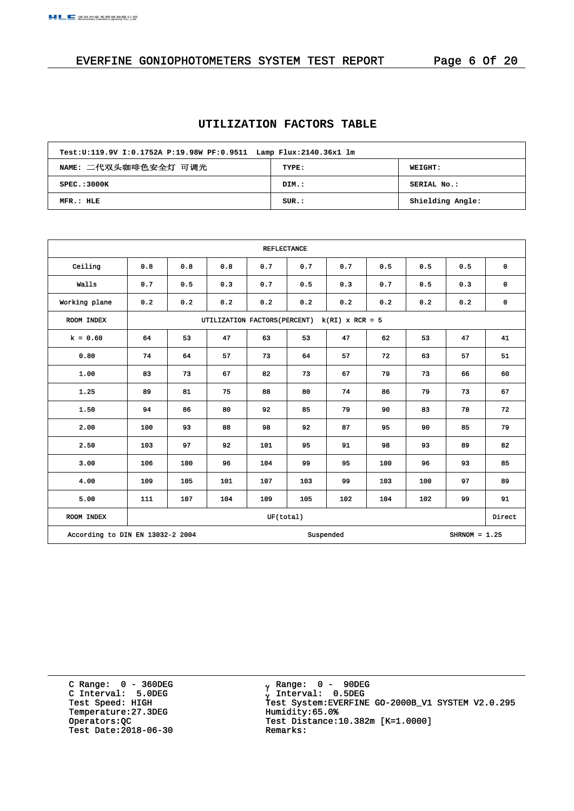## EVERFINE GONIOPHOTOMETERS SYSTEM TEST REPORT Page 6 Of 20

## **UTILIZATION FACTORS TABLE**

| Test:U:119.9V I:0.1752A P:19.98W PF:0.9511 Lamp Flux:2140.36x1 lm |       |                  |  |  |  |  |  |  |
|-------------------------------------------------------------------|-------|------------------|--|--|--|--|--|--|
| NAME: 二代双头咖啡色安全灯 可调光<br>TYPE:<br>WEIGHT:                          |       |                  |  |  |  |  |  |  |
| SPEC.:3000K                                                       | DIM.: | SERIAL No.:      |  |  |  |  |  |  |
| MFR.: HLE                                                         | SUR.: | Shielding Angle: |  |  |  |  |  |  |

| <b>REFLECTANCE</b>               |                                                |     |     |           |     |           |     |     |                 |             |  |
|----------------------------------|------------------------------------------------|-----|-----|-----------|-----|-----------|-----|-----|-----------------|-------------|--|
| Ceiling                          | 0.8                                            | 0.8 | 0.8 | 0.7       | 0.7 | 0.7       | 0.5 | 0.5 | 0.5             | $\mathbf 0$ |  |
| Walls                            | 0.7                                            | 0.5 | 0.3 | 0.7       | 0.5 | 0.3       | 0.7 | 0.5 | 0.3             | $\mathbf 0$ |  |
| Working plane                    | 0.2                                            | 0.2 | 0.2 | 0.2       | 0.2 | 0.2       | 0.2 | 0.2 | 0.2             | 0           |  |
| ROOM INDEX                       | UTILIZATION FACTORS (PERCENT) k (RI) x RCR = 5 |     |     |           |     |           |     |     |                 |             |  |
| $k = 0.60$                       | 64                                             | 53  | 47  | 63        | 53  | 47        | 62  | 53  | 47              | 41          |  |
| 0.80                             | 74                                             | 64  | 57  | 73        | 64  | 57        | 72  | 63  | 57              | 51          |  |
| 1.00                             | 83                                             | 73  | 67  | 82        | 73  | 67        | 79  | 73  | 66              | 60          |  |
| 1.25                             | 89                                             | 81  | 75  | 88        | 80  | 74        | 86  | 79  | 73              | 67          |  |
| 1.50                             | 94                                             | 86  | 80  | 92        | 85  | 79        | 90  | 83  | 78              | 72          |  |
| 2.00                             | 100                                            | 93  | 88  | 98        | 92  | 87        | 95  | 90  | 85              | 79          |  |
| 2.50                             | 103                                            | 97  | 92  | 101       | 95  | 91        | 98  | 93  | 89              | 82          |  |
| 3.00                             | 106                                            | 100 | 96  | 104       | 99  | 95        | 100 | 96  | 93              | 85          |  |
| 4.00                             | 109                                            | 105 | 101 | 107       | 103 | 99        | 103 | 100 | 97              | 89          |  |
| 5.00                             | 111                                            | 107 | 104 | 109       | 105 | 102       | 104 | 102 | 99              | 91          |  |
| ROOM INDEX                       |                                                |     |     | UF(total) |     |           |     |     |                 | Direct      |  |
| According to DIN EN 13032-2 2004 |                                                |     |     |           |     | Suspended |     |     | SHRNOM = $1.25$ |             |  |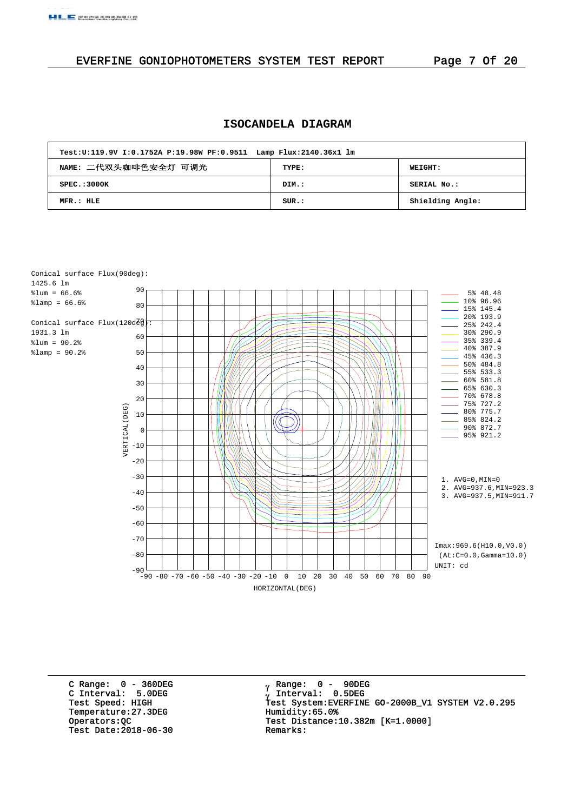#### EVERFINE GONIOPHOTOMETERS SYSTEM TEST REPORT Page 7 Of 20

#### **ISOCANDELA DIAGRAM**

| Test:U:119.9V I:0.1752A P:19.98W PF:0.9511 Lamp Flux:2140.36x1 lm |       |                  |  |  |  |  |  |  |
|-------------------------------------------------------------------|-------|------------------|--|--|--|--|--|--|
| NAME: 二代双头咖啡色安全灯 可调光                                              | TYPE: | <b>WEIGHT:</b>   |  |  |  |  |  |  |
| SPEC. : 3000K                                                     | DIM.: | SERIAL No.:      |  |  |  |  |  |  |
| MFR.: HLE                                                         | SUR.: | Shielding Angle: |  |  |  |  |  |  |



C Range: 0 - 360DEG C Interval: 5.0DEG Temperature:27.3DEG Humidity:65.0%<br>Operators:QC Test Distance: Test Date:  $2018-06-30$ 

 Range: 0 - 90DEG Interval: 0.5DEG Test Speed: HIGH Test System:EVERFINE GO-2000B\_V1 SYSTEM V2.0.295 Test Distance:10.382m [K=1.0000]<br>Remarks: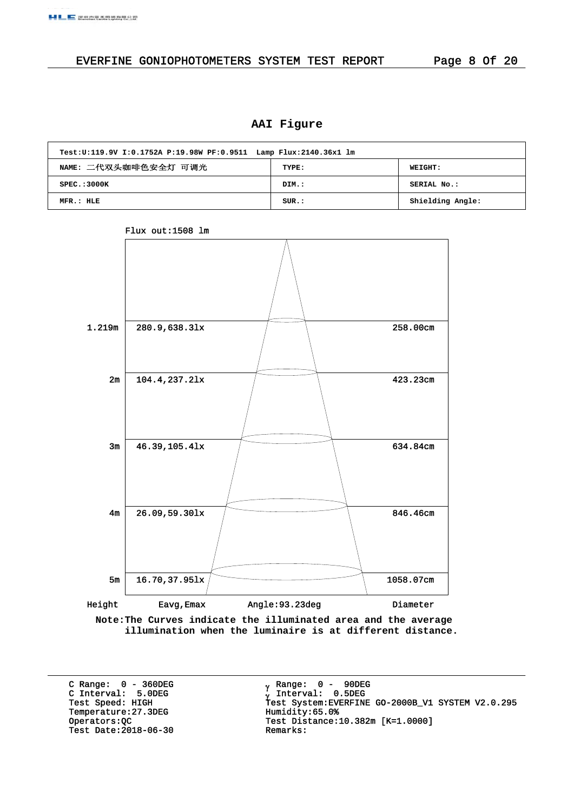## EVERFINE GONIOPHOTOMETERS SYSTEM TEST REPORT Page 8 Of 20

## **AAI Figure**

| Test:U:119.9V I:0.1752A P:19.98W PF:0.9511 Lamp Flux:2140.36x1 lm |          |                  |  |  |  |  |  |  |
|-------------------------------------------------------------------|----------|------------------|--|--|--|--|--|--|
| NAME: 二代双头咖啡色安全灯 可调光<br><b>WEIGHT:</b><br>TYPE:                   |          |                  |  |  |  |  |  |  |
| SPEC. : 3000K                                                     | DIM.:    | SERIAL No.:      |  |  |  |  |  |  |
| MFR.: HLE                                                         | $SUR.$ : | Shielding Angle: |  |  |  |  |  |  |



Flux out:1508 lm

**Note:The Curves indicate the illuminated area and the average illumination when the luminaire is at different distance.**

C Range: 0 - 360DEG C Interval: 5.0DEG Temperature:27.3DEG Humidity:65.0%<br>Operators:QC Test Distance: Test Date:  $2018-06-30$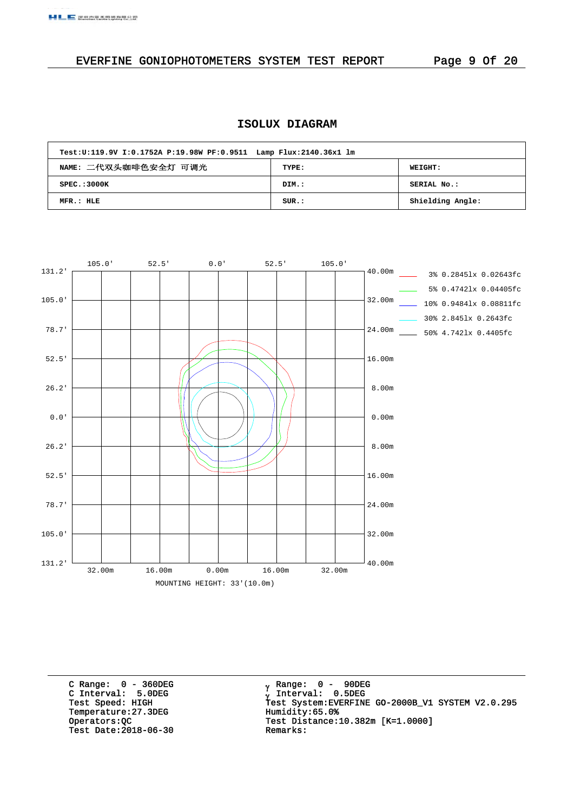## EVERFINE GONIOPHOTOMETERS SYSTEM TEST REPORT Page 9 Of 20

## **ISOLUX DIAGRAM**

| Test:U:119.9V I:0.1752A P:19.98W PF:0.9511 Lamp Flux:2140.36x1 lm |       |                  |
|-------------------------------------------------------------------|-------|------------------|
| NAME: 二代双头咖啡色安全灯 可调光                                              | TYPE: | <b>WEIGHT:</b>   |
| SPEC. : 3000K                                                     | DIM.: | SERIAL No.:      |
| MFR.: HLE                                                         | SUR.: | Shielding Angle: |



C Range: 0 - 360DEG C Interval: 5.0DEG Temperature:27.3DEG Humidity:65.0%<br>Operators:QC Test Distance:1 Test Date:  $2018-06-30$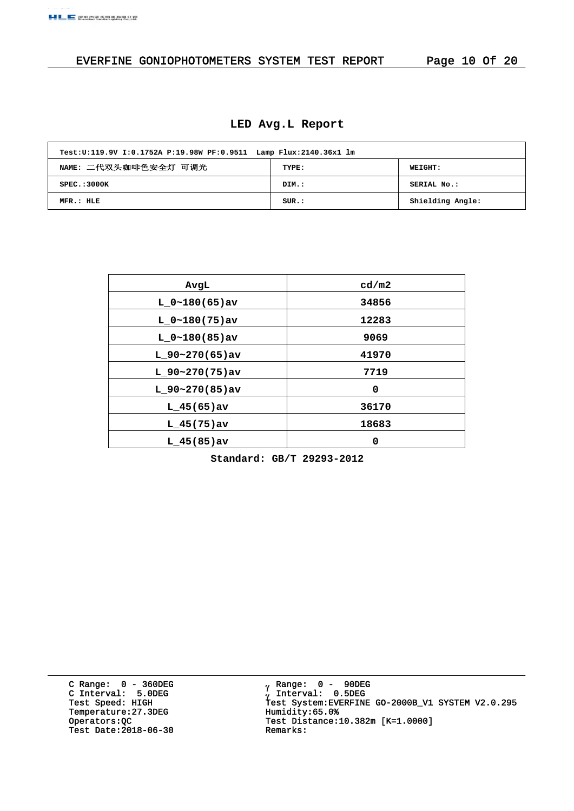## EVERFINE GONIOPHOTOMETERS SYSTEM TEST REPORT Page 10 Of 20

#### **LED Avg.L Report**

| Test:U:119.9V I:0.1752A P:19.98W PF:0.9511 Lamp Flux:2140.36x1 lm |       |                  |
|-------------------------------------------------------------------|-------|------------------|
| NAME: 二代双头咖啡色安全灯 可调光                                              | TYPE: | WEIGHT:          |
| SPEC.:3000K                                                       | DIM.: | SERIAL No.:      |
| MFR.: HLE                                                         | SUR.: | Shielding Angle: |

| AvgL             | cd/m2 |
|------------------|-------|
| $L_0~180(65)$ av | 34856 |
| $L_0~180(75)$ av | 12283 |
| $L_0~180(85)$ av | 9069  |
| $L$ 90~270(65)av | 41970 |
| $L$ 90~270(75)av | 7719  |
| $L$ 90~270(85)av | 0     |
| L $45(65)$ av    | 36170 |
| $L$ 45(75) av    | 18683 |
| $L_{145(85)av}$  | 0     |

**Standard: GB/T 29293-2012**

C Range: 0 - 360DEG C Interval: 5.0DEG Temperature:27.3DEG Humidity:65.0%<br>Operators: QC Test Distance: Test Date:  $2018-06-30$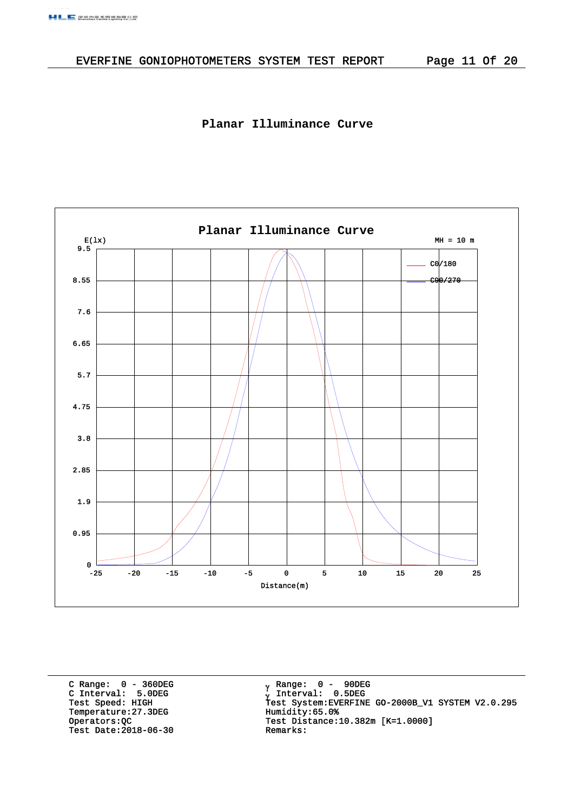#### **Planar Illuminance Curve**



C Range: 0 - 360DEG C Interval: 5.0DEG Temperature:27.3DEG Humidity:65.0%<br>Operators:QC Test Distance:1 Test Date:  $2018-06-30$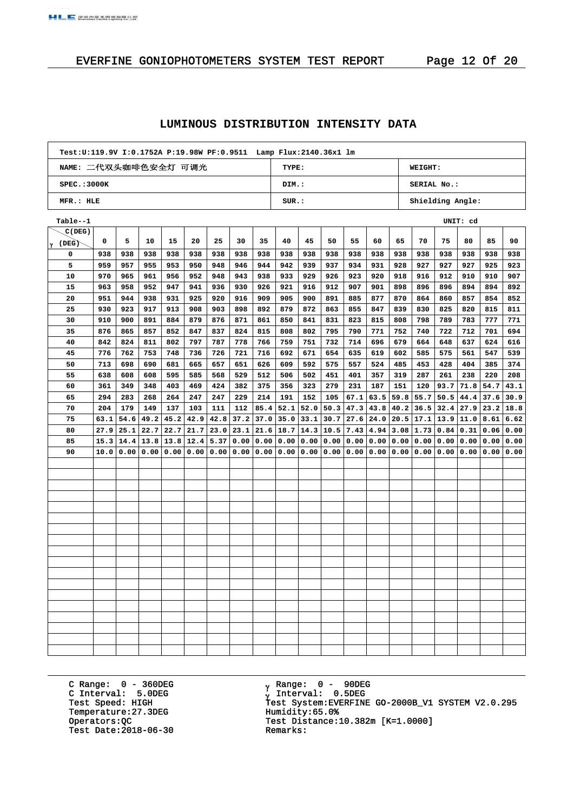#### **LUMINOUS DISTRIBUTION INTENSITY DATA**

| Test:U:119.9V I:0.1752A P:19.98W PF:0.9511 Lamp Flux:2140.36x1 lm |       |                  |
|-------------------------------------------------------------------|-------|------------------|
| NAME: 二代双头咖啡色安全灯 可调光                                              | TYPE: | <b>WEIGHT:</b>   |
| SPEC.:3000K                                                       | DIM.: | SERIAL No.:      |
| MFR.: HLE                                                         | SUB.: | Shielding Angle: |

| Table--1       |      |      |      |      |                             |      |      |      |                  |             |      |      |      |                      |      |      | UNIT: cd     |             |      |
|----------------|------|------|------|------|-----------------------------|------|------|------|------------------|-------------|------|------|------|----------------------|------|------|--------------|-------------|------|
| C(DEG)         |      |      |      |      |                             |      |      |      |                  |             |      |      |      |                      |      |      |              |             |      |
| <b>γ (DEG)</b> | 0    | 5    | 10   | 15   | 20                          | 25   | 30   | 35   | 40               | 45          | 50   | 55   | 60   | 65                   | 70   | 75   | 80           | 85          | 90   |
| 0              | 938  | 938  | 938  | 938  | 938                         | 938  | 938  | 938  | 938              | 938         | 938  | 938  | 938  | 938                  | 938  | 938  | 938          | 938         | 938  |
| 5              | 959  | 957  | 955  | 953  | 950                         | 948  | 946  | 944  | 942              | 939         | 937  | 934  | 931  | 928                  | 927  | 927  | 927          | 925         | 923  |
| 10             | 970  | 965  | 961  | 956  | 952                         | 948  | 943  | 938  | 933              | 929         | 926  | 923  | 920  | 918                  | 916  | 912  | 910          | 910         | 907  |
| 15             | 963  | 958  | 952  | 947  | 941                         | 936  | 930  | 926  | 921              | 916         | 912  | 907  | 901  | 898                  | 896  | 896  | 894          | 894         | 892  |
| 20             | 951  | 944  | 938  | 931  | 925                         | 920  | 916  | 909  | 905              | 900         | 891  | 885  | 877  | 870                  | 864  | 860  | 857          | 854         | 852  |
| 25             | 930  | 923  | 917  | 913  | 908                         | 903  | 898  | 892  | 879              | 872         | 863  | 855  | 847  | 839                  | 830  | 825  | 820          | 815         | 811  |
| 30             | 910  | 900  | 891  | 884  | 879                         | 876  | 871  | 861  | 850              | 841         | 831  | 823  | 815  | 808                  | 798  | 789  | 783          | 777         | 771  |
| 35             | 876  | 865  | 857  | 852  | 847                         | 837  | 824  | 815  | 808              | 802         | 795  | 790  | 771  | 752                  | 740  | 722  | 712          | 701         | 694  |
| 40             | 842  | 824  | 811  | 802  | 797                         | 787  | 778  | 766  | 759              | 751         | 732  | 714  | 696  | 679                  | 664  | 648  | 637          | 624         | 616  |
| 45             | 776  | 762  | 753  | 748  | 736                         | 726  | 721  | 716  | 692              | 671         | 654  | 635  | 619  | 602                  | 585  | 575  | 561          | 547         | 539  |
| 50             | 713  | 698  | 690  | 681  | 665                         | 657  | 651  | 626  | 609              | 592         | 575  | 557  | 524  | 485                  | 453  | 428  | 404          | 385         | 374  |
| 55             | 638  | 608  | 608  | 595  | 585                         | 568  | 529  | 512  | 506              | 502         | 451  | 401  | 357  | 319                  | 287  | 261  | 238          | 220         | 208  |
| 60             | 361  | 349  | 348  | 403  | 469                         | 424  | 382  | 375  | 356              | 323         | 279  | 231  | 187  | 151                  | 120  | 93.7 | 71.8         | 54.7        | 43.1 |
| 65             | 294  | 283  | 268  | 264  | 247                         | 247  | 229  | 214  | 191              | 152         | 105  | 67.1 | 63.5 | 59.8                 | 55.7 | 50.5 | 44.4         | 37.6        | 30.9 |
| 70             | 204  | 179  | 149  | 137  | 103                         | 111  | 112  | 85.4 | 52.1             | 52.0        | 50.3 | 47.3 |      | $43.8$   $40.2$      | 36.5 | 32.4 | 27.9         | $23.2$ 18.8 |      |
| 75             | 63.1 | 54.6 | 49.2 | 45.2 | 42.9                        | 42.8 | 37.2 | 37.0 |                  | $35.0$ 33.1 | 30.7 | 27.6 |      | $24.0$   20.5   17.1 |      |      | $13.9$  11.0 | $8.61$ 6.62 |      |
| 80             | 27.9 | 25.1 | 22.7 |      | $22.7$   $21.7$             | 23.0 | 23.1 |      | $21.6$ 18.7 14.3 |             | 10.5 | 7.43 |      | $4.94$ 3.08 1.73     |      | 0.84 | 0.31         | 0.06   0.00 |      |
| 85             | 15.3 | 14.4 |      |      | $13.8$   13.8   12.4   5.37 |      | 0.00 | 0.00 | 0.00 0.00        |             | 0.00 | 0.00 |      | 0.00   0.00   0.00   |      | 0.00 | 0.00         | 0.00        | 0.00 |
| 90             | 10.0 | 0.00 | 0.00 |      | 0.00 0.00                   | 0.00 | 0.00 | 0.00 | 0.00             | 0.00        | 0.00 | 0.00 | 0.00 | 0.00                 | 0.00 | 0.00 | 0.00         | 0.00        | 0.00 |
|                |      |      |      |      |                             |      |      |      |                  |             |      |      |      |                      |      |      |              |             |      |
|                |      |      |      |      |                             |      |      |      |                  |             |      |      |      |                      |      |      |              |             |      |
|                |      |      |      |      |                             |      |      |      |                  |             |      |      |      |                      |      |      |              |             |      |
|                |      |      |      |      |                             |      |      |      |                  |             |      |      |      |                      |      |      |              |             |      |
|                |      |      |      |      |                             |      |      |      |                  |             |      |      |      |                      |      |      |              |             |      |
|                |      |      |      |      |                             |      |      |      |                  |             |      |      |      |                      |      |      |              |             |      |
|                |      |      |      |      |                             |      |      |      |                  |             |      |      |      |                      |      |      |              |             |      |
|                |      |      |      |      |                             |      |      |      |                  |             |      |      |      |                      |      |      |              |             |      |
|                |      |      |      |      |                             |      |      |      |                  |             |      |      |      |                      |      |      |              |             |      |
|                |      |      |      |      |                             |      |      |      |                  |             |      |      |      |                      |      |      |              |             |      |
|                |      |      |      |      |                             |      |      |      |                  |             |      |      |      |                      |      |      |              |             |      |
|                |      |      |      |      |                             |      |      |      |                  |             |      |      |      |                      |      |      |              |             |      |
|                |      |      |      |      |                             |      |      |      |                  |             |      |      |      |                      |      |      |              |             |      |
|                |      |      |      |      |                             |      |      |      |                  |             |      |      |      |                      |      |      |              |             |      |
|                |      |      |      |      |                             |      |      |      |                  |             |      |      |      |                      |      |      |              |             |      |
|                |      |      |      |      |                             |      |      |      |                  |             |      |      |      |                      |      |      |              |             |      |
|                |      |      |      |      |                             |      |      |      |                  |             |      |      |      |                      |      |      |              |             |      |
|                |      |      |      |      |                             |      |      |      |                  |             |      |      |      |                      |      |      |              |             |      |

C Range: 0 - 360DEG C Interval: 5.0DEG Temperature:27.3DEG Humidity:65.0%<br>Operators: QC Test Distance: Test Date:  $2018-06-30$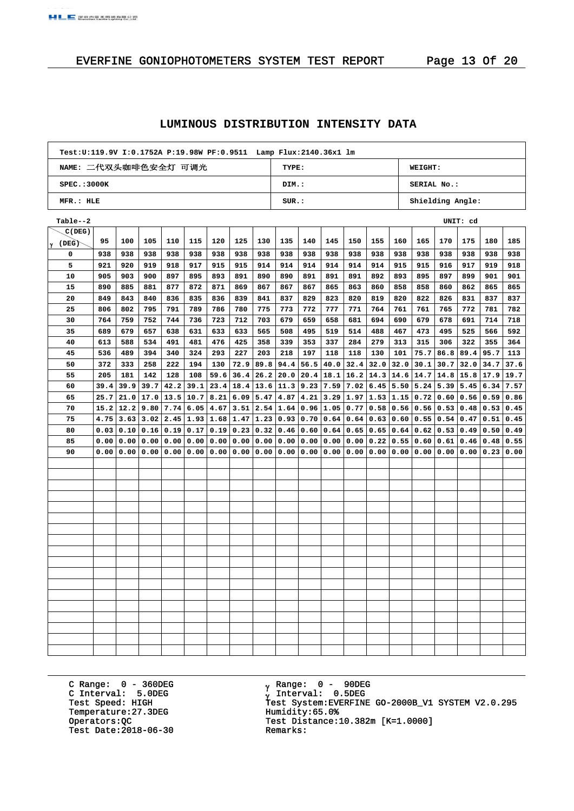#### **LUMINOUS DISTRIBUTION INTENSITY DATA**

| Test:U:119.9V I:0.1752A P:19.98W PF:0.9511 Lamp Flux:2140.36x1 lm |       |                  |
|-------------------------------------------------------------------|-------|------------------|
| NAME: 二代双头咖啡色安全灯 可调光                                              | TYPE: | <b>WEIGHT:</b>   |
| SPEC.:3000K                                                       | DIM.: | SERIAL No.:      |
| MFR.: HLE                                                         | SUB.: | Shielding Angle: |

| Table--2   |      |      |      |                                                  |                    |                                  |      |                            |             |      |           |     |                             |      |                  |      | UNIT: cd |                      |      |
|------------|------|------|------|--------------------------------------------------|--------------------|----------------------------------|------|----------------------------|-------------|------|-----------|-----|-----------------------------|------|------------------|------|----------|----------------------|------|
| C(DEG)     |      |      |      |                                                  |                    |                                  |      |                            |             |      |           |     |                             |      |                  |      |          |                      |      |
| 'γ (DEG)̇̃ | 95   | 100  | 105  | 110                                              | 115                | 120                              | 125  | 130                        | 135         | 140  | 145       | 150 | 155                         | 160  | 165              | 170  | 175      | 180                  | 185  |
| 0          | 938  | 938  | 938  | 938                                              | 938                | 938                              | 938  | 938                        | 938         | 938  | 938       | 938 | 938                         | 938  | 938              | 938  | 938      | 938                  | 938  |
| 5          | 921  | 920  | 919  | 918                                              | 917                | 915                              | 915  | 914                        | 914         | 914  | 914       | 914 | 914                         | 915  | 915              | 916  | 917      | 919                  | 918  |
| 10         | 905  | 903  | 900  | 897                                              | 895                | 893                              | 891  | 890                        | 890         | 891  | 891       | 891 | 892                         | 893  | 895              | 897  | 899      | 901                  | 901  |
| 15         | 890  | 885  | 881  | 877                                              | 872                | 871                              | 869  | 867                        | 867         | 867  | 865       | 863 | 860                         | 858  | 858              | 860  | 862      | 865                  | 865  |
| 20         | 849  | 843  | 840  | 836                                              | 835                | 836                              | 839  | 841                        | 837         | 829  | 823       | 820 | 819                         | 820  | 822              | 826  | 831      | 837                  | 837  |
| 25         | 806  | 802  | 795  | 791                                              | 789                | 786                              | 780  | 775                        | 773         | 772  | 777       | 771 | 764                         | 761  | 761              | 765  | 772      | 781                  | 782  |
| 30         | 764  | 759  | 752  | 744                                              | 736                | 723                              | 712  | 703                        | 679         | 659  | 658       | 681 | 694                         | 690  | 679              | 678  | 691      | 714                  | 718  |
| 35         | 689  | 679  | 657  | 638                                              | 631                | 633                              | 633  | 565                        | 508         | 495  | 519       | 514 | 488                         | 467  | 473              | 495  | 525      | 566                  | 592  |
| 40         | 613  | 588  | 534  | 491                                              | 481                | 476                              | 425  | 358                        | 339         | 353  | 337       | 284 | 279                         | 313  | 315              | 306  | 322      | 355                  | 364  |
| 45         | 536  | 489  | 394  | 340                                              | 324                | 293                              | 227  | 203                        | 218         | 197  | 118       | 118 | 130                         | 101  | 75.7             | 86.8 | 89.4     | 95.7                 | 113  |
| 50         | 372  | 333  | 258  | 222                                              | 194                | 130                              | 72.9 | 89.8                       | 94.4        | 56.5 | 40.0      |     | $32.4$ 32.0                 | 32.0 | 30.1             | 30.7 | 32.0     | 34.7                 | 37.6 |
| 55         | 205  | 181  | 142  | 128                                              | 108                | 59.6                             |      | 36.4   26.2   20.0         |             | 20.4 | 18.1      |     | $16.2$   14.3   14.6   14.7 |      |                  | 14.8 |          | $15.8$   17.9   19.7 |      |
| 60         | 39.4 | 39.9 | 39.7 | 42.2                                             |                    | 39.1   23.4   18.4   13.6   11.3 |      |                            |             | 9.23 | 7.59      |     | $7.02$ 6.45 5.50 5.24       |      |                  | 5.39 | 5.45     | $6.34$ 7.57          |      |
| 65         | 25.7 | 21.0 |      | $17.0$   13.5   10.7   8.21   6.09   5.47   4.87 |                    |                                  |      |                            |             | 4.21 | 3.29      |     | 1.97 1.53 1.15 0.72         |      |                  | 0.60 |          | 0.56 0.59            | 0.86 |
| 70         | 15.2 | 12.2 |      | $9.80$   7.74   6.05   4.67                      |                    |                                  |      | $3.51 \mid 2.54 \mid 1.64$ |             |      | 0.96 1.05 |     | $0.77$   0.58   0.56   0.56 |      |                  | 0.53 |          | $0.48$   0.53   0.45 |      |
| 75         | 4.75 | 3.63 |      | $3.02$   2.45   1.93   1.68                      |                    |                                  |      | $1.47$   1.23   0.93       |             | 0.70 | 0.64      |     | $0.64$   0.63   0.60   0.55 |      |                  | 0.54 | 0.47     | 0.51                 | 0.45 |
| 80         | 0.03 | 0.10 |      | $0.16$ 0.19 0.17 0.19                            |                    |                                  | 0.23 | 0.32                       | 0.46        | 0.60 | 0.64      |     | $0.65$   $0.65$             |      | $0.64 \mid 0.62$ | 0.53 | 0.49     | 0.50                 | 0.49 |
| 85         | 0.00 | 0.00 | 0.00 |                                                  | 0.00   0.00   0.00 |                                  | 0.00 |                            | 0.00   0.00 | 0.00 | 0.00      |     | 0.00   0.22                 |      | 0.55   0.60      | 0.61 | 0.46     | 0.48                 | 0.55 |
| 90         | 0.00 | 0.00 | 0.00 |                                                  | 0.00   0.00   0.00 |                                  | 0.00 | 0.00                       | 0.00        | 0.00 | 0.00      |     | 0.00   0.00                 |      | 0.00   0.00      | 0.00 | 0.00     | 0.23                 | 0.00 |
|            |      |      |      |                                                  |                    |                                  |      |                            |             |      |           |     |                             |      |                  |      |          |                      |      |
|            |      |      |      |                                                  |                    |                                  |      |                            |             |      |           |     |                             |      |                  |      |          |                      |      |
|            |      |      |      |                                                  |                    |                                  |      |                            |             |      |           |     |                             |      |                  |      |          |                      |      |
|            |      |      |      |                                                  |                    |                                  |      |                            |             |      |           |     |                             |      |                  |      |          |                      |      |
|            |      |      |      |                                                  |                    |                                  |      |                            |             |      |           |     |                             |      |                  |      |          |                      |      |
|            |      |      |      |                                                  |                    |                                  |      |                            |             |      |           |     |                             |      |                  |      |          |                      |      |
|            |      |      |      |                                                  |                    |                                  |      |                            |             |      |           |     |                             |      |                  |      |          |                      |      |
|            |      |      |      |                                                  |                    |                                  |      |                            |             |      |           |     |                             |      |                  |      |          |                      |      |
|            |      |      |      |                                                  |                    |                                  |      |                            |             |      |           |     |                             |      |                  |      |          |                      |      |
|            |      |      |      |                                                  |                    |                                  |      |                            |             |      |           |     |                             |      |                  |      |          |                      |      |
|            |      |      |      |                                                  |                    |                                  |      |                            |             |      |           |     |                             |      |                  |      |          |                      |      |
|            |      |      |      |                                                  |                    |                                  |      |                            |             |      |           |     |                             |      |                  |      |          |                      |      |
|            |      |      |      |                                                  |                    |                                  |      |                            |             |      |           |     |                             |      |                  |      |          |                      |      |
|            |      |      |      |                                                  |                    |                                  |      |                            |             |      |           |     |                             |      |                  |      |          |                      |      |
|            |      |      |      |                                                  |                    |                                  |      |                            |             |      |           |     |                             |      |                  |      |          |                      |      |
|            |      |      |      |                                                  |                    |                                  |      |                            |             |      |           |     |                             |      |                  |      |          |                      |      |
|            |      |      |      |                                                  |                    |                                  |      |                            |             |      |           |     |                             |      |                  |      |          |                      |      |
|            |      |      |      |                                                  |                    |                                  |      |                            |             |      |           |     |                             |      |                  |      |          |                      |      |

C Range: 0 - 360DEG C Interval: 5.0DEG Temperature:27.3DEG Humidity:65.0%<br>Operators: QC Test Distance: Test Date:  $2018-06-30$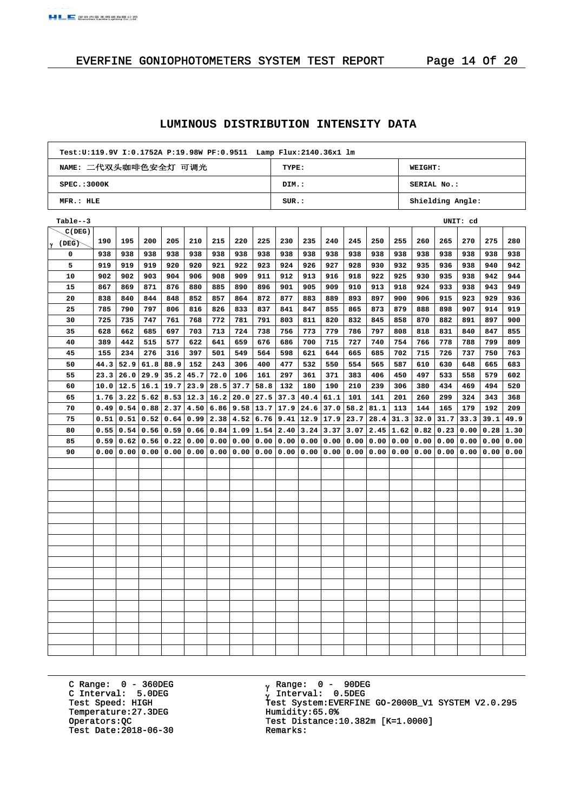#### **LUMINOUS DISTRIBUTION INTENSITY DATA**

| Test:U:119.9V I:0.1752A P:19.98W PF:0.9511 Lamp Flux:2140.36x1 lm |       |                  |
|-------------------------------------------------------------------|-------|------------------|
| NAME: 二代双头咖啡色安全灯 可调光                                              | TYPE: | <b>WEIGHT:</b>   |
| SPEC.:3000K                                                       | DIM.: | SERIAL No.:      |
| MFR.: HLE                                                         | SUB.: | Shielding Angle: |

| $Table - 3$ |      |      |      |      |                                    |      |      |      |                  |             |      |      |      |               |      |      | UNIT: cd |      |      |
|-------------|------|------|------|------|------------------------------------|------|------|------|------------------|-------------|------|------|------|---------------|------|------|----------|------|------|
| C(DEG)      |      |      |      |      |                                    |      |      |      |                  |             |      |      |      |               |      |      |          |      |      |
| γ (DEG)     | 190  | 195  | 200  | 205  | 210                                | 215  | 220  | 225  | 230              | 235         | 240  | 245  | 250  | 255           | 260  | 265  | 270      | 275  | 280  |
| 0           | 938  | 938  | 938  | 938  | 938                                | 938  | 938  | 938  | 938              | 938         | 938  | 938  | 938  | 938           | 938  | 938  | 938      | 938  | 938  |
| 5           | 919  | 919  | 919  | 920  | 920                                | 921  | 922  | 923  | 924              | 926         | 927  | 928  | 930  | 932           | 935  | 936  | 938      | 940  | 942  |
| 10          | 902  | 902  | 903  | 904  | 906                                | 908  | 909  | 911  | 912              | 913         | 916  | 918  | 922  | 925           | 930  | 935  | 938      | 942  | 944  |
| 15          | 867  | 869  | 871  | 876  | 880                                | 885  | 890  | 896  | 901              | 905         | 909  | 910  | 913  | 918           | 924  | 933  | 938      | 943  | 949  |
| 20          | 838  | 840  | 844  | 848  | 852                                | 857  | 864  | 872  | 877              | 883         | 889  | 893  | 897  | 900           | 906  | 915  | 923      | 929  | 936  |
| 25          | 785  | 790  | 797  | 806  | 816                                | 826  | 833  | 837  | 841              | 847         | 855  | 865  | 873  | 879           | 888  | 898  | 907      | 914  | 919  |
| 30          | 725  | 735  | 747  | 761  | 768                                | 772  | 781  | 791  | 803              | 811         | 820  | 832  | 845  | 858           | 870  | 882  | 891      | 897  | 900  |
| 35          | 628  | 662  | 685  | 697  | 703                                | 713  | 724  | 738  | 756              | 773         | 779  | 786  | 797  | 808           | 818  | 831  | 840      | 847  | 855  |
| 40          | 389  | 442  | 515  | 577  | 622                                | 641  | 659  | 676  | 686              | 700         | 715  | 727  | 740  | 754           | 766  | 778  | 788      | 799  | 809  |
| 45          | 155  | 234  | 276  | 316  | 397                                | 501  | 549  | 564  | 598              | 621         | 644  | 665  | 685  | 702           | 715  | 726  | 737      | 750  | 763  |
| 50          | 44.3 | 52.9 | 61.8 | 88.9 | 152                                | 243  | 306  | 400  | 477              | 532         | 550  | 554  | 565  | 587           | 610  | 630  | 648      | 665  | 683  |
| 55          | 23.3 | 26.0 |      |      | $29.9$ 35.2 45.7                   | 72.0 | 106  | 161  | 297              | 361         | 371  | 383  | 406  | 450           | 497  | 533  | 558      | 579  | 602  |
| 60          | 10.0 |      |      |      | $12.5$   16.1   19.7   23.9   28.5 |      | 37.7 | 58.8 | 132              | 180         | 190  | 210  | 239  | 306           | 380  | 434  | 469      | 494  | 520  |
| 65          | 1.76 | 3.22 |      |      | $5.62$   8.53   12.3   16.2        |      | 20.0 | 27.5 | 37.3             | 40.4        | 61.1 | 101  | 141  | 201           | 260  | 299  | 324      | 343  | 368  |
| 70          | 0.49 | 0.54 |      |      | $0.88$   2.37   4.50               | 6.86 | 9.58 | 13.7 |                  | $17.9$ 24.6 | 37.0 | 58.2 | 81.1 | 113           | 144  | 165  | 179      | 192  | 209  |
| 75          | 0.51 | 0.51 | 0.52 |      | $0.64 \mid 0.99 \mid 2.38$         |      | 4.52 | 6.76 | $9.41$   12.9    |             | 17.9 | 23.7 | 28.4 | 31.3          | 32.0 | 31.7 | 33.3     | 39.1 | 49.9 |
| 80          | 0.55 | 0.54 |      |      | $0.56$   0.59   0.66               | 0.84 | 1.09 | 1.54 | $2.40 \mid 3.24$ |             | 3.37 | 3.07 |      | $2.45$   1.62 | 0.82 | 0.23 | 0.00     | 0.28 | 1.30 |
| 85          | 0.59 | 0.62 | 0.56 |      | 0.22 0.00                          | 0.00 | 0.00 | 0.00 | 0.00             | 0.00        | 0.00 | 0.00 | 0.00 | 0.00          | 0.00 | 0.00 | 0.00     | 0.00 | 0.00 |
| 90          | 0.00 | 0.00 | 0.00 |      | 0.00   0.00                        | 0.00 | 0.00 | 0.00 | 0.00             | 0.00        | 0.00 | 0.00 | 0.00 | 0.00          | 0.00 | 0.00 | 0.00     | 0.00 | 0.00 |
|             |      |      |      |      |                                    |      |      |      |                  |             |      |      |      |               |      |      |          |      |      |
|             |      |      |      |      |                                    |      |      |      |                  |             |      |      |      |               |      |      |          |      |      |
|             |      |      |      |      |                                    |      |      |      |                  |             |      |      |      |               |      |      |          |      |      |
|             |      |      |      |      |                                    |      |      |      |                  |             |      |      |      |               |      |      |          |      |      |
|             |      |      |      |      |                                    |      |      |      |                  |             |      |      |      |               |      |      |          |      |      |
|             |      |      |      |      |                                    |      |      |      |                  |             |      |      |      |               |      |      |          |      |      |
|             |      |      |      |      |                                    |      |      |      |                  |             |      |      |      |               |      |      |          |      |      |
|             |      |      |      |      |                                    |      |      |      |                  |             |      |      |      |               |      |      |          |      |      |
|             |      |      |      |      |                                    |      |      |      |                  |             |      |      |      |               |      |      |          |      |      |
|             |      |      |      |      |                                    |      |      |      |                  |             |      |      |      |               |      |      |          |      |      |
|             |      |      |      |      |                                    |      |      |      |                  |             |      |      |      |               |      |      |          |      |      |
|             |      |      |      |      |                                    |      |      |      |                  |             |      |      |      |               |      |      |          |      |      |
|             |      |      |      |      |                                    |      |      |      |                  |             |      |      |      |               |      |      |          |      |      |
|             |      |      |      |      |                                    |      |      |      |                  |             |      |      |      |               |      |      |          |      |      |
|             |      |      |      |      |                                    |      |      |      |                  |             |      |      |      |               |      |      |          |      |      |
|             |      |      |      |      |                                    |      |      |      |                  |             |      |      |      |               |      |      |          |      |      |
|             |      |      |      |      |                                    |      |      |      |                  |             |      |      |      |               |      |      |          |      |      |
|             |      |      |      |      |                                    |      |      |      |                  |             |      |      |      |               |      |      |          |      |      |

C Range: 0 - 360DEG C Interval: 5.0DEG Temperature:27.3DEG Humidity:65.0%<br>Operators: QC Test Distance: Test Date:  $2018-06-30$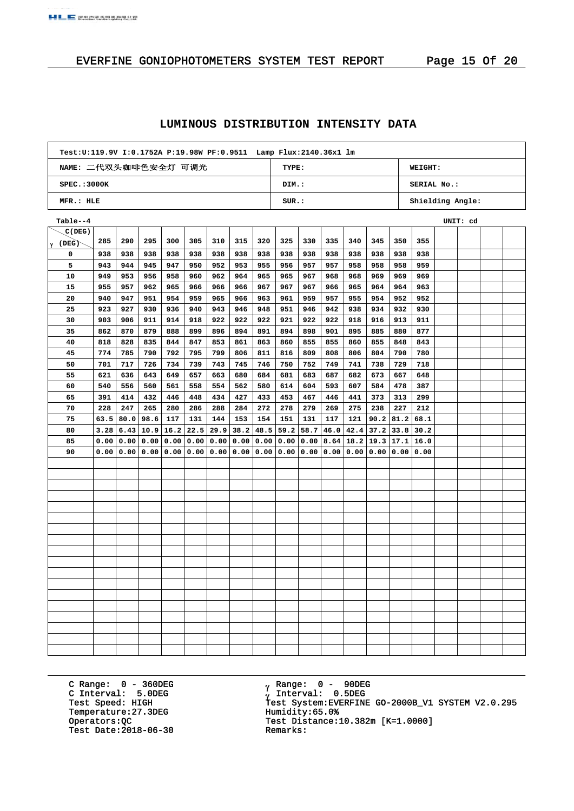## EVERFINE GONIOPHOTOMETERS SYSTEM TEST REPORT Page 15 Of 20

#### **LUMINOUS DISTRIBUTION INTENSITY DATA**

| Test:U:119.9V I:0.1752A P:19.98W PF:0.9511 Lamp Flux:2140.36x1 lm |       |                  |
|-------------------------------------------------------------------|-------|------------------|
| NAME: 二代双头咖啡色安全灯 可调光                                              | TYPE: | WEIGHT:          |
| SPEC.:3000K                                                       | DIM.: | SERIAL No.:      |
| MFR.: HLE                                                         | SUR.: | Shielding Angle: |

| Table--4 |      |      |      |             |                    |      |      |      |      |      |                           |      |                             |           |      | UNIT: cd |  |
|----------|------|------|------|-------------|--------------------|------|------|------|------|------|---------------------------|------|-----------------------------|-----------|------|----------|--|
| C(DEG)   |      |      |      |             |                    |      |      |      |      |      |                           |      |                             |           |      |          |  |
| lγ (DEG) | 285  | 290  | 295  | 300         | 305                | 310  | 315  | 320  | 325  | 330  | 335                       | 340  | 345                         | 350       | 355  |          |  |
| 0        | 938  | 938  | 938  | 938         | 938                | 938  | 938  | 938  | 938  | 938  | 938                       | 938  | 938                         | 938       | 938  |          |  |
| 5        | 943  | 944  | 945  | 947         | 950                | 952  | 953  | 955  | 956  | 957  | 957                       | 958  | 958                         | 958       | 959  |          |  |
| 10       | 949  | 953  | 956  | 958         | 960                | 962  | 964  | 965  | 965  | 967  | 968                       | 968  | 969                         | 969       | 969  |          |  |
| 15       | 955  | 957  | 962  | 965         | 966                | 966  | 966  | 967  | 967  | 967  | 966                       | 965  | 964                         | 964       | 963  |          |  |
| 20       | 940  | 947  | 951  | 954         | 959                | 965  | 966  | 963  | 961  | 959  | 957                       | 955  | 954                         | 952       | 952  |          |  |
| 25       | 923  | 927  | 930  | 936         | 940                | 943  | 946  | 948  | 951  | 946  | 942                       | 938  | 934                         | 932       | 930  |          |  |
| 30       | 903  | 906  | 911  | 914         | 918                | 922  | 922  | 922  | 921  | 922  | 922                       | 918  | 916                         | 913       | 911  |          |  |
| 35       | 862  | 870  | 879  | 888         | 899                | 896  | 894  | 891  | 894  | 898  | 901                       | 895  | 885                         | 880       | 877  |          |  |
| 40       | 818  | 828  | 835  | 844         | 847                | 853  | 861  | 863  | 860  | 855  | 855                       | 860  | 855                         | 848       | 843  |          |  |
| 45       | 774  | 785  | 790  | 792         | 795                | 799  | 806  | 811  | 816  | 809  | 808                       | 806  | 804                         | 790       | 780  |          |  |
| 50       | 701  | 717  | 726  | 734         | 739                | 743  | 745  | 746  | 750  | 752  | 749                       | 741  | 738                         | 729       | 718  |          |  |
| 55       | 621  | 636  | 643  | 649         | 657                | 663  | 680  | 684  | 681  | 683  | 687                       | 682  | 673                         | 667       | 648  |          |  |
| 60       | 540  | 556  | 560  | 561         | 558                | 554  | 562  | 580  | 614  | 604  | 593                       | 607  | 584                         | 478       | 387  |          |  |
| 65       | 391  | 414  | 432  | 446         | 448                | 434  | 427  | 433  | 453  | 467  | 446                       | 441  | 373                         | 313       | 299  |          |  |
| 70       | 228  | 247  | 265  | 280         | 286                | 288  | 284  | 272  | 278  | 279  | 269                       | 275  | 238                         | 227       | 212  |          |  |
| 75       | 63.5 | 80.0 | 98.6 | 117         | 131                | 144  | 153  | 154  | 151  | 131  | 117                       | 121  | 90.2                        | 81.2      | 68.1 |          |  |
| 80       | 3.28 | 6.43 |      | $10.9$ 16.2 | 22.5               | 29.9 | 38.2 | 48.5 | 59.2 | 58.7 | 46.0                      | 42.4 | 37.2                        | 33.8      | 30.2 |          |  |
| 85       | 0.00 | 0.00 |      |             | 0.00   0.00   0.00 | 0.00 | 0.00 | 0.00 | 0.00 | 0.00 | 8.64                      |      | $18.2$   19.3   17.1   16.0 |           |      |          |  |
| 90       | 0.00 | 0.00 |      |             | 0.00   0.00   0.00 | 0.00 | 0.00 | 0.00 |      |      | 0.00   0.00   0.00   0.00 |      |                             | 0.00 0.00 | 0.00 |          |  |
|          |      |      |      |             |                    |      |      |      |      |      |                           |      |                             |           |      |          |  |
|          |      |      |      |             |                    |      |      |      |      |      |                           |      |                             |           |      |          |  |
|          |      |      |      |             |                    |      |      |      |      |      |                           |      |                             |           |      |          |  |
|          |      |      |      |             |                    |      |      |      |      |      |                           |      |                             |           |      |          |  |
|          |      |      |      |             |                    |      |      |      |      |      |                           |      |                             |           |      |          |  |
|          |      |      |      |             |                    |      |      |      |      |      |                           |      |                             |           |      |          |  |
|          |      |      |      |             |                    |      |      |      |      |      |                           |      |                             |           |      |          |  |
|          |      |      |      |             |                    |      |      |      |      |      |                           |      |                             |           |      |          |  |
|          |      |      |      |             |                    |      |      |      |      |      |                           |      |                             |           |      |          |  |
|          |      |      |      |             |                    |      |      |      |      |      |                           |      |                             |           |      |          |  |
|          |      |      |      |             |                    |      |      |      |      |      |                           |      |                             |           |      |          |  |
|          |      |      |      |             |                    |      |      |      |      |      |                           |      |                             |           |      |          |  |
|          |      |      |      |             |                    |      |      |      |      |      |                           |      |                             |           |      |          |  |
|          |      |      |      |             |                    |      |      |      |      |      |                           |      |                             |           |      |          |  |
|          |      |      |      |             |                    |      |      |      |      |      |                           |      |                             |           |      |          |  |
|          |      |      |      |             |                    |      |      |      |      |      |                           |      |                             |           |      |          |  |
|          |      |      |      |             |                    |      |      |      |      |      |                           |      |                             |           |      |          |  |
|          |      |      |      |             |                    |      |      |      |      |      |                           |      |                             |           |      |          |  |

C Range: 0 - 360DEG C Interval: 5.0DEG Temperature:27.3DEG Humidity:65.0%<br>Operators: QC Test Distance: Test Date:  $2018-06-30$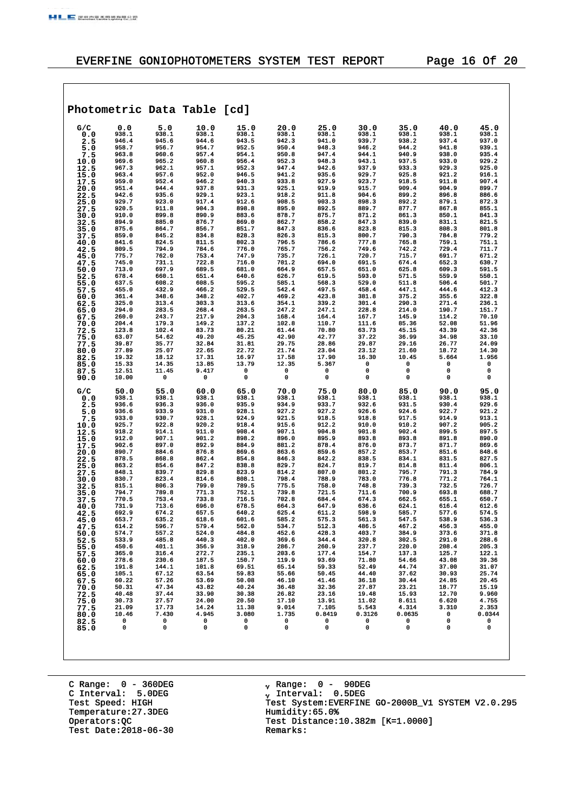## EVERFINE GONIOPHOTOMETERS SYSTEM TEST REPORT Page 16 Of 20

|              |                |                | Photometric Data Table [cd] |                |                |                 |                 |                 |                       |                 |
|--------------|----------------|----------------|-----------------------------|----------------|----------------|-----------------|-----------------|-----------------|-----------------------|-----------------|
|              |                |                |                             |                |                |                 |                 |                 |                       |                 |
| G/C          | 0.0            | 5.0            | 10.0                        | 15.0           | 20.0<br>938.1  | 25.0            | 30.0            | 35.0            | 40.0<br>938.1         | 45.0            |
| 0.0<br>2.5   | 938.1<br>946.4 | 938.1<br>945.6 | 938.1<br>944.6              | 938.1<br>943.5 | 942.3          | 938.1<br>941.0  | 938.1<br>939.7  | 938.1<br>938.2  | 937.4                 | 938.1<br>937.0  |
| 5.0          | 958.7          | 956.7          | 954.7                       | 952.5          | 950.4          | 948.3           | 946.2           | 944.2           | 941.8                 | 939.1           |
| 7.5          | 963.8          | 960.6          | 957.4                       | 954.1          | 950.8          | 947.4           | 944.1           | 940.9           | 938.0                 | 935.4           |
| 10.0         | 969.6          | 965.2          | 960.8                       | 956.4          | 952.3          | 948.3           | 943.1           | 937.5           | 933.0                 | 929.2           |
| 12.5<br>15.0 | 967.3<br>963.4 | 962.1<br>957.6 | 957.1<br>952.0              | 952.3<br>946.5 | 947.4<br>941.2 | 942.6<br>935.6  | 937.9<br>929.7  | 933.3<br>925.8  | 929.3<br>921.2        | 925.0<br>916.1  |
| 17.5         | 959.0          | 952.4          | 946.2                       | 940.3          | 933.8          | 927.9           | 923.7           | 918.5           | 911.8                 | 907.4           |
| 20.0         | 951.4          | 944.4          | 937.8                       | 931.3          | 925.1          | 919.9           | 915.7           | 909.4           | 904.9                 | 899.7           |
| 22.5         | 942.6          | 935.6          | 929.1                       | 923.1          | 918.2          | 911.8           | 904.6           | 899.2           | 896.8                 | 886.6           |
| 25.0         | 929.7<br>920.5 | 923.0<br>911.8 | 917.4<br>904.3              | 912.6<br>898.8 | 908.5<br>895.0 | 903.3<br>892.5  | 898.3<br>889.7  | 892.2<br>877.7  | 879.1<br>867.8        | 872.3<br>855.1  |
| 27.5<br>30.0 | 910.0          | 899.8          | 890.9                       | 883.6          | 878.7          | 875.7           | 871.2           | 861.3           | 850.1                 | 841.3           |
| 32.5         | 894.9          | 885.0          | 876.7                       | 869.0          | 862.7          | 858.2           | 847.3           | 839.0           | 831.1                 | 821.5           |
| 35.0         | 875.6          | 864.7          | 856.7                       | 851.7          | 847.3          | 836.6           | 823.8           | 815.3           | 808.3                 | 801.8           |
| 37.5         | 859.0<br>841.6 | 845.2<br>824.5 | 834.8<br>811.5              | 828.3<br>802.3 | 826.3<br>796.5 | 815.3<br>786.6  | 800.7<br>777.8  | 790.3<br>765.8  | 784.8<br>759.1        | 779.2<br>751.1  |
| 40.0<br>42.5 | 809.5          | 794.9          | 784.6                       | 776.0          | 765.7          | 756.2           | 749.6           | 742.2           | 729.4                 | 711.7           |
| 45.0         | 775.7          | 762.0          | 753.4                       | 747.9          | 735.7          | 726.1           | 720.7           | 715.7           | 691.7                 | 671.2           |
| 47.5         | 745.0          | 731.1          | 722.8                       | 716.0          | 701.2          | 694.0           | 691.5           | 674.4           | 652.3                 | 630.7           |
| 50.0         | 713.0          | 697.9          | 689.5                       | 681.0          | 664.9          | 657.5           | 651.0           | 625.8           | 609.3                 | 591.5           |
| 52.5<br>55.0 | 678.4<br>637.5 | 660.1<br>608.2 | 651.4<br>608.5              | 640.6<br>595.2 | 626.7<br>585.1 | 619.5<br>568.3  | 593.0<br>529.0  | 571.5<br>511.8  | 559.9<br>506.4        | 550.1<br>501.7  |
| 57.5         | 455.0          | 432.9          | 466.2                       | 529.5          | 542.4          | 497.5           | 458.4           | 447.1           | 444.6                 | 412.3           |
| 60.0         | 361.4          | 348.6          | 348.2                       | 402.7          | 469.2          | 423.8           | 381.8           | 375.2           | 355.6                 | 322.8           |
| 62.5         | 325.0          | 313.4          | 303.3                       | 313.6          | 354.1          | 339.2           | 301.4           | 290.3           | 271.4                 | 236.1           |
| 65.0<br>67.5 | 294.0<br>260.0 | 283.5<br>243.7 | 268.4<br>217.9              | 263.5<br>204.3 | 247.2<br>168.4 | 247.1<br>164.4  | 228.8<br>167.7  | 214.0<br>145.9  | 190.7<br>114.2        | 151.7<br>70.10  |
| 70.0         | 204.4          | 179.3          | 149.2                       | 137.2          | 102.8          | 110.7           | 111.6           | 85.36           | 52.08                 | 51.96           |
| 72.5         | 123.8          | 102.4          | 83.73                       | 80.21          | 61.44          | 70.80           | 63.73           | 45.15           | 43.39                 | 42.36           |
| 75.0         | 63.07          | 54.62          | 49.20                       | 45.25          | 42.90          | 42.77           | 37.22           | 36.99           | 34.98                 | 33.10           |
| 77.5<br>80.0 | 39.87<br>27.89 | 35.77<br>25.07 | 32.84<br>22.65              | 31.81<br>22.72 | 29.75<br>21.74 | 28.86<br>23.04  | 29.87<br>23.12  | 29.16<br>21.60  | 26.77<br>18.72        | 24.09<br>14.30  |
| 82.5         | 19.32          | 18.12          | 17.31                       | 16.97          | 17.58          | 17.90           | 16.30           | 10.45           | 5.664                 | 1.956           |
| 85.0         | 15.33          | 14.35          | 13.85                       | 13.79          | 12.35          | 5.367           | 0               | 0               | 0                     | 0               |
| 87.5         | 12.51          | 11.45          | 9.417                       | 0              | 0              | 0               | 0               | 0               | 0                     | 0               |
| 90.0         | 10.00          | 0              | 0                           | 0              | 0              | 0               | 0               | 0               | 0                     | 0               |
| G/C          | 50.0           | 55.0           | 60.0                        | 65.0           | 70.0           | 75.0            | 80.0            | 85.0            | 90.0                  | 95.0            |
| 0.0          | 938.1          | 938.1          | 938.1                       | 938.1          | 938.1          | 938.1           | 938.1           | 938.1           | 938.1                 | 938.1           |
| 2.5          | 936.6<br>936.6 | 936.3<br>933.9 | 936.0<br>931.0              | 935.9<br>928.1 | 934.9<br>927.2 | 933.7<br>927.2  | 932.6<br>926.6  | 931.5<br>924.6  | 930.4<br>922.7        | 929.6<br>921.2  |
| 5.0<br>7.5   | 933.0          | 930.7          | 928.1                       | 924.9          | 921.5          | 918.5           | 918.8           | 917.5           | 914.9                 | 913.1           |
| 10.0         | 925.7          | 922.8          | 920.2                       | 918.4          | 915.6          | 912.2           | 910.0           | 910.2           | 907.2                 | 905.2           |
| 12.5         | 918.2          | 914.1          | 911.0                       | 908.4          | 907.1          | 904.8           | 901.8           | 902.4           | 899.5                 | 897.5           |
| 15.0         | 912.0<br>902.6 | 907.1<br>897.0 | 901.2<br>892.9              | 898.2<br>884.9 | 896.0<br>881.2 | 895.9<br>878.4  | 893.8<br>876.0  | 893.8<br>873.7  | 891.8<br>871.7        | 890.0<br>869.6  |
| 17.5<br>20.0 | 890.7          | 884.6          | 876.8                       | 869.6          | 863.6          | 859.6           | 857.2           | 853.7           | 851.6                 | 848.6           |
| 22.5         | 878.5          | 868.8          | 862.4                       | 854.8          | 846.3          | 842.2           | 838.5           | 834.1           | 831.5                 | 827.5           |
| 25.0         | 863.2          | 854.6          | 847.2                       | 838.8          | 829.7          | 824.7           | 819.7           | 814.8           | 811.4                 | 806.1           |
| 27.5         | 848.1<br>830.7 | 839.7<br>823.4 | 829.8<br>814.6              | 823.9<br>808.1 | 814.2<br>798.4 | 807.0<br>788.9  | 801.2<br>783.0  | 795.7<br>776.8  | 791.3<br>771.2        | 784.9<br>764.1  |
| 30.0<br>32.5 | 815.1          | 806.3          | 799.0                       | 789.5          | 775.5          | 758.0           | 748.8           | 739.3           | 732.5                 | 726.7           |
| 35.0         | 794.7          | 789.8          | 771.3                       | 752.1          | 739.8          | 721.5           | 711.6           | 700.9           | 693.8                 | 688.7           |
| 37.5         | 770.5          | 753.4          | 733.8                       | 716.5          | 702.8          | 684.4           | 674.3           | 662.5           | 655.1                 | 650.7           |
| 40.0<br>42.5 | 731.9<br>692.9 | 713.6<br>674.2 | 696.0<br>657.5              | 678.5<br>640.2 | 664.3<br>625.4 | 647.9<br>611.2  | 636.6<br>598.9  | 624.1<br>585.7  | 616.4<br>577.6        | 612.6<br>574.5  |
| 45.0         | 653.7          | 635.2          | 618.6                       | 601.6          | 585.2          | 575.3           | 561.3           | 547.5           | 538.9                 | 536.3           |
| 47.5         | 614.2          | 596.7          | 579.4                       | 562.0          | 534.7          | 512.3           | 486.5           | 467.2           | 456.3                 | 455.0           |
| 50.0         | 574.7          | 557.2          | 524.0                       | 484.8          | 452.6          | 428.3           | 403.7           | 384.9           | 373.6                 | 371.8           |
| 52.5<br>55.0 | 533.9<br>450.6 | 485.8<br>401.1 | 440.3<br>356.9              | 402.0<br>318.9 | 369.6<br>286.7 | 344.4<br>260.9  | 320.8<br>237.7  | 302.5<br>220.0  | 291.0<br>208.4        | 288.6<br>205.3  |
| 57.5         | 365.0          | 316.4          | 272.7                       | 235.1          | 203.6          | 177.4           | 154.7           | 137.3           | 125.7                 | 122.1           |
| 60.0         | 278.6          | 230.6          | 187.5                       | 150.7          | 119.9          | 93.69           | 71.80           | 54.66           | 43.08                 | 39.36           |
| 62.5         | 191.8          | 144.1          | 101.8                       | 69.51          | 65.14          | 59.33           | 52.49           | 44.74           | 37.00                 | 31.07           |
| 65.0         | 105.1<br>60.22 | 67.12<br>57.26 | 63.54<br>53.69              | 59.83<br>50.08 | 55.66<br>46.10 | 50.45<br>41.46  | 44.40<br>36.18  | 37.62<br>30.44  | 30.93<br>24.85        | 25.74<br>20.45  |
| 67.5<br>70.0 | 50.31          | 47.34          | 43.82                       | 40.24          | 36.48          | 32.36           | 27.87           | 23.21           | 18.77                 | 15.19           |
| 72.5         | 40.48          | 37.44          | 33.90                       | 30.38          | 26.82          | 23.16           | 19.48           | 15.93           | 12.70                 | 9.960           |
| 75.0         | 30.73          | 27.57          | 24.00                       | 20.50          | 17.10          | 13.91           | 11.02           | 8.611           | 6.620                 | 4.755           |
| 77.5         | 21.09<br>10.46 | 17.73<br>7.430 | 14.24<br>4.945              | 11.38<br>3.080 | 9.014<br>1.735 | 7.105<br>0.8419 | 5.543<br>0.3126 | 4.314<br>0.0635 | 3.310<br>$\mathbf{0}$ | 2.353<br>0.0344 |
| 80.0<br>82.5 | 0              | 0              | 0                           | $^{\circ}$     | $\mathbf{0}$   | 0               | 0               | 0               | 0                     | 0               |
| 85.0         | 0              | 0              | 0                           | 0              | 0              | 0               | $\mathbf 0$     | 0               | 0                     | 0               |
|              |                |                |                             |                |                |                 |                 |                 |                       |                 |
|              |                |                |                             |                |                |                 |                 |                 |                       |                 |
|              |                |                |                             |                |                |                 |                 |                 |                       |                 |

C Range: 0 - 360DEG C Interval: 5.0DEG Temperature:27.3DEG Humidity:65.0%<br>Operators: QC Test Distance: Test Date:  $2018-06-30$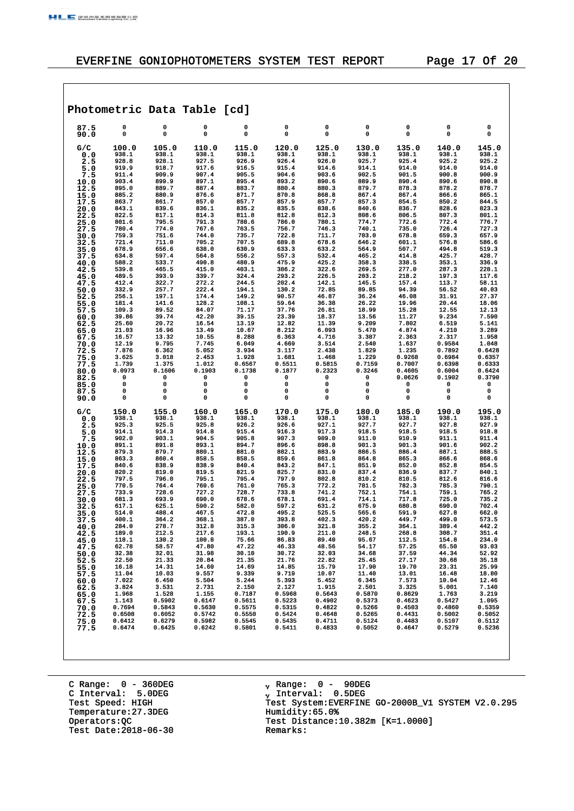$\sqrt{ }$ 

٦

|              |                  |                  | Photometric Data Table [cd] |                  |                  |                  |                  |                  |                  |                  |
|--------------|------------------|------------------|-----------------------------|------------------|------------------|------------------|------------------|------------------|------------------|------------------|
| 87.5<br>90.0 | 0<br>0           | 0<br>0           | 0<br>0                      | 0<br>0           | 0<br>0           | 0<br>0           | 0<br>0           | 0<br>0           | 0<br>0           | 0<br>0           |
| G/C          | 100.0            | 105.0            | 110.0                       | 115.0            | 120.0            | 125.0            | 130.0            | 135.0            | 140.0            | 145.0            |
| 0.0<br>2.5   | 938.1<br>928.8   | 938.1<br>928.1   | 938.1<br>927.5              | 938.1<br>926.9   | 938.1<br>926.4   | 938.1<br>926.0   | 938.1<br>925.7   | 938.1<br>925.4   | 938.1<br>925.2   | 938.1<br>925.2   |
| 5.0          | 919.9            | 918.7            | 917.6                       | 916.5            | 915.4            | 914.6            | 914.1            | 914.0            | 914.0            | 914.0            |
| 7.5          | 911.4            | 909.9            | 907.4                       | 905.5            | 904.6            | 903.6            | 902.5            | 901.5            | 900.8            | 900.9            |
| 10.0         | 903.4            | 899.9            | 897.1                       | 895.4            | 893.2            | 890.6            | 889.9            | 890.4            | 890.6            | 890.8            |
| 12.5<br>15.0 | 895.0<br>885.2   | 889.7<br>880.9   | 887.4<br>876.6              | 883.7<br>871.7   | 880.4<br>870.8   | 880.3<br>868.8   | 879.7<br>867.4   | 878.3<br>867.4   | 878.2<br>866.6   | 878.7<br>865.1   |
| 17.5         | 863.7            | 861.7            | 857.0                       | 857.7            | 857.9            | 857.7            | 857.3            | 854.5            | 850.2            | 844.5            |
| 20.0         | 843.1            | 839.6            | 836.1                       | 835.2            | 835.5            | 838.6            | 840.6            | 836.7            | 828.6            | 823.3            |
| 22.5         | 822.5<br>801.6   | 817.1<br>795.5   | 814.3<br>791.3              | 811.8<br>788.6   | 812.8<br>786.0   | 812.3<br>780.1   | 808.6<br>774.7   | 806.5<br>772.6   | 807.3<br>772.4   | 801.1<br>776.7   |
| 25.0<br>27.5 | 780.4            | 774.0            | 767.6                       | 763.5            | 756.7            | 746.3            | 740.1            | 735.0            | 726.4            | 727.3            |
| 30.0         | 759.3            | 751.6            | 744.0                       | 735.7            | 722.8            | 711.7            | 703.0            | 678.8            | 659.3            | 657.9            |
| 32.5         | 721.4            | 711.0            | 705.2                       | 707.5            | 689.8            | 678.6            | 646.2            | 601.1            | 576.8            | 586.6            |
| 35.0<br>37.5 | 678.9<br>634.8   | 656.6<br>597.4   | 638.0<br>564.8              | 630.9<br>556.2   | 633.3<br>557.3   | 633.2<br>532.4   | 564.9<br>465.2   | 507.7<br>414.8   | 494.8<br>425.7   | 519.3<br>428.7   |
| 40.0         | 588.2            | 533.7            | 490.8                       | 480.9            | 475.9            | 425.2            | 358.3            | 338.5            | 353.1            | 336.9            |
| 42.5         | 539.8            | 465.5            | 415.0                       | 403.1            | 386.2            | 322.6            | 269.5            | 277.0            | 287.3            | 228.1            |
| 45.0         | 489.5<br>412.4   | 393.9<br>322.7   | 339.7<br>272.2              | 324.4<br>244.5   | 293.2<br>202.4   | 226.5<br>142.1   | 203.2<br>145.5   | 218.2<br>157.4   | 197.3<br>113.7   | 117.6<br>58.11   |
| 47.5<br>50.0 | 332.9            | 257.7            | 222.4                       | 194.1            | 130.2            | 72.85            | 89.85            | 94.39            | 56.52            | 40.03            |
| 52.5         | 256.1            | 197.1            | 174.4                       | 149.2            | 90.57            | 46.87            | 36.24            | 46.08            | 31.91            | 27.37            |
| 55.0         | 181.4<br>109.3   | 141.6            | 128.2                       | 108.1            | 59.64            | 36.38            | 26.22<br>18.99   | 19.96            | 20.44            | 18.06            |
| 57.5<br>60.0 | 39.86            | 89.52<br>39.74   | 84.07<br>42.20              | 71.17<br>39.15   | 37.76<br>23.39   | 26.81<br>18.37   | 13.56            | 15.28<br>11.27   | 12.55<br>9.234   | 12.13<br>7.590   |
| 62.5         | 25.60            | 20.72            | 16.54                       | 13.19            | 12.82            | 11.39            | 9.209            | 7.802            | 6.519            | 5.141            |
| 65.0         | 21.03            | 16.96            | 13.49                       | 10.67            | 8.212            | 6.093            | 5.470            | 4.874            | 4.210            | 3.289            |
| 67.5<br>70.0 | 16.57<br>12.19   | 13.32<br>9.795   | 10.55<br>7.745              | 8.288<br>6.049   | 6.363<br>4.669   | 4.716<br>3.514   | 3.387<br>2.540   | 2.363<br>1.637   | 2.317<br>0.9584  | 1.958<br>1.048   |
| 72.5         | 7.876            | 6.362            | 5.052                       | 3.934            | 3.117            | 2.438            | 1.829            | 1.235            | 0.7892           | 0.6428           |
| 75.0         | 3.625            | 3.018            | 2.453                       | 1.928            | 1.681            | 1.468            | 1.229            | 0.9268           | 0.6984           | 0.6357           |
| 77.5         | 1.739            | 1.375            | 1.012<br>0.1903             | 0.6567           | 0.5511           | 0.5815           | 0.7159           | 0.7007           | 0.6398           | 0.6333           |
| 80.0<br>82.5 | 0.0973<br>0      | 0.1606<br>0      | 0                           | 0.1738<br>0      | 0.1877<br>0      | 0.2323<br>0      | 0.3246<br>0      | 0.4605<br>0.0626 | 0.6004<br>0.1902 | 0.6424<br>0.3790 |
| 85.0         | 0                | 0                | 0                           | 0                | 0                | 0                | 0                | 0                | 0                | 0                |
| 87.5         | 0<br>0           | 0<br>0           | 0<br>$\mathbf 0$            | 0<br>0           | 0<br>0           | 0<br>0           | 0<br>0           | 0<br>$\mathbf 0$ | 0<br>0           | 0<br>0           |
| 90.0         |                  |                  |                             |                  |                  |                  |                  |                  |                  |                  |
| G/C          | 150.0            | 155.0            | 160.0                       | 165.0            | 170.0            | 175.0            | 180.0            | 185.0            | 190.0            | 195.0            |
| 0.0<br>2.5   | 938.1<br>925.3   | 938.1<br>925.5   | 938.1<br>925.8              | 938.1<br>926.2   | 938.1<br>926.6   | 938.1<br>927.1   | 938.1<br>927.7   | 938.1<br>927.7   | 938.1<br>927.8   | 938.1<br>927.9   |
| 5.0          | 914.1            | 914.3            | 914.8                       | 915.4            | 916.3            | 917.3            | 918.5            | 918.5            | 918.5            | 918.8            |
| 7.5          | 902.0            | 903.1            | 904.5                       | 905.8            | 907.3            | 909.0            | 911.0            | 910.9            | 911.1            | 911.4            |
| 10.0         | 891.1            | 891.8            | 893.1                       | 894.7            | 896.6            | 898.8            | 901.3            | 901.3            | 901.6            | 902.2            |
| 12.5<br>15.0 | 879.3<br>863.3   | 879.7<br>860.4   | 880.1<br>858.5              | 881.0<br>858.5   | 882.1<br>859.6   | 883.9<br>861.8   | 886.5<br>864.8   | 886.4<br>865.3   | 887.1<br>866.6   | 888.5<br>868.6   |
| 17.5         | 840.6            | 838.9            | 838.9                       | 840.4            | 843.2            | 847.1            | 851.9            | 852.0            | 852.8            | 854.5            |
| 20.0         | 820.2            | 819.0            | 819.5                       | 821.9            | 825.7            | 831.0            | 837.4            | 836.9            | 837.7            | 840.1            |
| 22.5<br>25.0 | 797.5<br>770.5   | 796.0<br>764.4   | 795.1<br>760.6              | 795.4<br>761.0   | 797.9<br>765.3   | 802.8<br>772.2   | 810.2<br>781.5   | 810.5<br>782.3   | 812.6<br>785.3   | 816.6<br>790.1   |
| 27.5         | 733.9            | 728.6            | 727.2                       | 728.7            | 733.8            | 741.2            | 752.1            | 754.1            | 759.1            | 765.2            |
| 30.0         | 681.3            | 693.9            | 690.0                       | 678.6            | 678.1            | 691.4            | 714.1            | 717.8            | 725.0            | 735.2            |
| 32.5         | 617.1<br>514.0   | 625.1<br>488.4   | 590.2<br>467.5              | 582.0<br>472.8   | 597.2<br>495.2   | 631.2<br>525.5   | 675.9<br>565.6   | 680.8<br>591.9   | 690.0<br>627.8   | 702.4<br>662.0   |
| 35.0<br>37.5 | 400.1            | 364.2            | 368.1                       | 387.0            | 393.8            | 402.3            | 420.2            | 449.7            | 499.0            | 573.5            |
| 40.0         | 284.0            | 278.7            | 312.8                       | 315.3            | 306.0            | 321.8            | 355.2            | 364.1            | 389.4            | 442.2            |
| 42.5         | 189.0            | 212.5            | 217.6                       | 193.1            | 190.9            | 211.0            | 248.5            | 268.8            | 308.7            | 351.4            |
| 45.0<br>47.5 | 118.1<br>62.78   | 130.2<br>58.57   | 100.8<br>47.80              | 75.66<br>47.22   | 86.83<br>46.33   | 89.40<br>48.56   | 95.67<br>54.17   | 112.5<br>57.25   | 154.8<br>65.50   | 234.0<br>93.03   |
| 50.0         | 32.38            | 32.01            | 31.98                       | 30.10            | 30.72            | 32.03            | 34.68            | 37.59            | 44.34            | 52.92            |
| 52.5         | 22.50            | 21.33            | 20.84                       | 21.35            | 21.76            | 22.82            | 25.45            | 27.17            | 30.68            | 35.18            |
| 55.0<br>57.5 | 16.18<br>11.04   | 14.31<br>10.03   | 14.60<br>9.557              | 14.69<br>9.339   | 14.85<br>9.719   | 15.79<br>10.07   | 17.90<br>11.40   | 19.70<br>13.01   | 23.31<br>16.48   | 25.99<br>18.80   |
| 60.0         | 7.022            | 6.450            | 5.504                       | 5.244            | 5.393            | 5.452            | 6.345            | 7.573            | 10.04            | 12.46            |
| 62.5         | 3.824            | 3.531            | 2.731                       | 2.150            | 2.127            | 1.915            | 2.501            | 3.325            | 5.001            | 7.140            |
| 65.0         | 1.968<br>1.143   | 1.528<br>0.5902  | 1.155<br>0.6147             | 0.7187<br>0.5611 | 0.5968<br>0.5223 | 0.5643<br>0.4902 | 0.5870<br>0.5373 | 0.8629<br>0.4623 | 1.763<br>0.5427  | 3.219<br>1.095   |
| 67.5<br>70.0 | 0.7694           | 0.5843           | 0.5630                      | 0.5575           | 0.5315           | 0.4822           | 0.5266           | 0.4503           | 0.4860           | 0.5359           |
| 72.5         | 0.6508           | 0.6052           | 0.5742                      | 0.5550           | 0.5424           | 0.4648           | 0.5265           | 0.4431           | 0.5002           | 0.5052           |
| 75.0         | 0.6412<br>0.6474 | 0.6279<br>0.6425 | 0.5982<br>0.6242            | 0.5545<br>0.5801 | 0.5435<br>0.5411 | 0.4711<br>0.4833 | 0.5124<br>0.5052 | 0.4483<br>0.4647 | 0.5107<br>0.5279 | 0.5112<br>0.5236 |
| 77.5         |                  |                  |                             |                  |                  |                  |                  |                  |                  |                  |
|              |                  |                  |                             |                  |                  |                  |                  |                  |                  |                  |

C Range: 0 - 360DEG C Interval: 5.0DEG Temperature:27.3DEG Humidity:65.0%<br>Operators: QC Test Distance: Test Date:  $2018-06-30$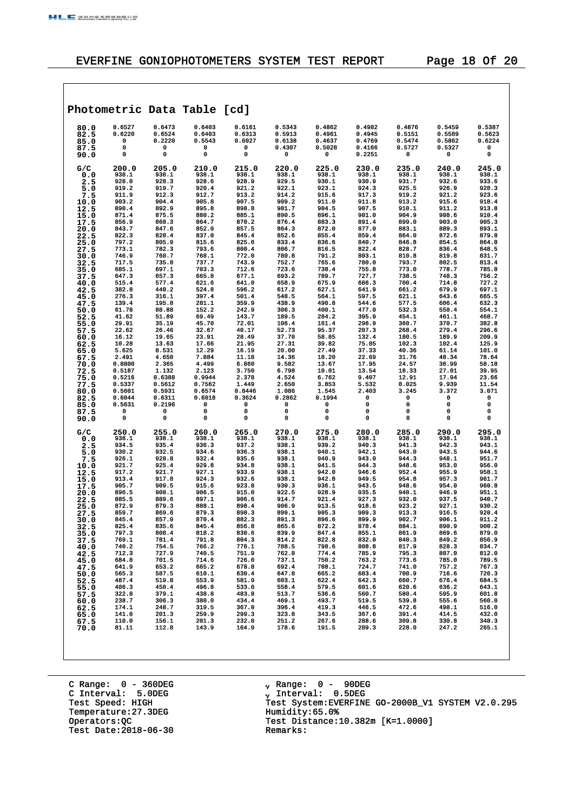|                      |                            |                                 | Photometric Data Table [cd]     |                                 |                                      |                                      |                                      |                                      |                                      |                                 |
|----------------------|----------------------------|---------------------------------|---------------------------------|---------------------------------|--------------------------------------|--------------------------------------|--------------------------------------|--------------------------------------|--------------------------------------|---------------------------------|
| 80.0<br>82.5<br>85.0 | 0.6527<br>0.6220<br>0<br>0 | 0.6473<br>0.6524<br>0.2220<br>0 | 0.6403<br>0.6403<br>0.5543<br>0 | 0.6161<br>0.6313<br>0.6027<br>0 | 0.5343<br>0.5913<br>0.6138<br>0.4307 | 0.4862<br>0.4961<br>0.4637<br>0.5028 | 0.4982<br>0.4945<br>0.4769<br>0.4166 | 0.4876<br>0.5151<br>0.5474<br>0.5727 | 0.5459<br>0.5589<br>0.5862<br>0.5327 | 0.5387<br>0.5623<br>0.6224<br>0 |
| 87.5<br>90.0         | 0                          | 0                               | 0                               | 0                               | 0                                    | 0                                    | 0.2251                               | 0                                    | 0                                    | 0                               |
| G/C                  | 200.0                      | 205.0                           | 210.0                           | 215.0                           | 220.0                                | 225.0                                | 230.0                                | 235.0                                | 240.0                                | 245.0                           |
| 0.0<br>2.5           | 938.1<br>928.0             | 938.1<br>928.3                  | 938.1<br>928.6                  | 938.1<br>928.9                  | 938.1<br>929.5                       | 938.1<br>930.1                       | 938.1<br>930.9                       | 938.1<br>931.7                       | 938.1<br>932.6                       | 938.1<br>933.6                  |
| 5.0                  | 919.2<br>911.9             | 919.7<br>912.3                  | 920.4<br>912.7                  | 921.2<br>913.2                  | 922.1                                | 923.1<br>915.6                       | 924.3<br>917.3                       | 925.5<br>919.2                       | 926.9<br>921.2                       | 928.3<br>923.6                  |
| 7.5<br>10.0          | 903.2                      | 904.4                           | 905.8                           | 907.5                           | 914.2<br>909.2                       | 911.0                                | 911.8                                | 913.2                                | 915.6                                | 918.4                           |
| 12.5                 | 890.4                      | 892.9                           | 895.8                           | 898.8                           | 901.7                                | 904.5                                | 907.5                                | 910.1                                | 911.2                                | 913.8                           |
| 15.0<br>17.5         | 871.4<br>856.9             | 875.5<br>860.3                  | 880.2<br>864.7                  | 885.1<br>870.2                  | 890.5<br>876.4                       | 896.1<br>883.3                       | 901.0<br>891.4                       | 904.9<br>899.0                       | 908.6<br>903.0                       | 910.4<br>905.3                  |
| 20.0                 | 843.7                      | 847.6                           | 852.0                           | 857.5                           | 864.3                                | 872.0                                | 877.0                                | 883.1                                | 889.3                                | 893.1                           |
| 22.5<br>25.0         | 822.3<br>797.2             | 828.4<br>805.9                  | 837.0<br>815.6                  | 845.4<br>825.6                  | 852.6<br>833.4                       | 855.4<br>836.6                       | 859.4<br>840.7                       | 864.0<br>846.8                       | 872.6<br>854.5                       | 879.8<br>864.8                  |
| 27.5                 | 773.1                      | 782.3                           | 793.6                           | 800.4                           | 806.7                                | 816.5                                | 822.4                                | 828.7                                | 836.4                                | 848.5                           |
| 30.0                 | 746.9<br>717.5             | 760.7<br>735.0                  | 768.1<br>737.7                  | 772.0<br>743.9                  | 780.8<br>752.7                       | 791.2<br>765.6                       | 803.1<br>780.0                       | 810.8<br>793.7                       | 819.8<br>802.5                       | 831.7<br>813.4                  |
| 32.5<br>35.0         | 685.1                      | 697.1                           | 703.3                           | 712.6                           | 723.6                                | 738.4                                | 755.8                                | 773.0                                | 778.7                                | 785.8                           |
| 37.5                 | 647.3                      | 657.3                           | 665.8<br>621.6                  | 677.1                           | 693.2                                | 709.7                                | 727.7<br>686.3                       | 738.5                                | 748.3                                | 756.2<br>727.2                  |
| 40.0<br>42.5         | 515.4<br>382.8             | 577.4<br>440.2                  | 524.8                           | 641.0<br>596.2                  | 658.9<br>617.2                       | 675.9<br>627.1                       | 641.9                                | 700.4<br>661.2                       | 714.8<br>679.9                       | 697.1                           |
| 45.0                 | 276.3                      | 316.1                           | 397.4                           | 501.4                           | 548.5                                | 564.1                                | 597.5                                | 621.1                                | 643.6                                | 665.5                           |
| 47.5<br>50.0         | 139.4<br>61.78             | 195.8<br>88.88                  | 281.1<br>152.2                  | 359.9<br>242.9                  | 438.9<br>306.3                       | 490.8<br>400.1                       | 544.6<br>477.0                       | 577.5<br>532.3                       | 606.4<br>550.4                       | 632.3<br>554.1                  |
| 52.5                 | 41.62                      | 51.89                           | 69.49                           | 143.7                           | 189.5                                | 284.2                                | 395.9                                | 454.1                                | 461.1                                | 468.7                           |
| 55.0<br>57.5         | 29.91<br>22.62             | 35.19<br>26.46                  | 45.70<br>32.67                  | 72.01<br>40.17                  | 106.4<br>52.73                       | 161.4<br>95.37                       | 296.9<br>207.3                       | 360.7<br>268.4                       | 370.7<br>279.4                       | 382.8<br>296.6                  |
| 60.0                 | 16.12                      | 19.65                           | 23.91                           | 28.49                           | 37.70                                | 58.85                                | 132.4                                | 180.5                                | 189.9                                | 209.9                           |
| 62.5                 | 10.28<br>5.625             | 13.63<br>8.531                  | 17.66<br>12.29                  | 21.95<br>16.19                  | 27.31<br>20.00                       | 39.82<br>27.49                       | 75.05<br>37.33                       | 102.3<br>40.36                       | 102.4<br>61.14                       | 125.9<br>101.0                  |
| 65.0<br>67.5         | 2.491                      | 4.650                           | 7.884                           | 11.18                           | 14.36                                | 18.20                                | 22.69                                | 31.76                                | 48.34                                | 78.64                           |
| 70.0                 | 0.8800                     | 2.365<br>1.132                  | 4.499<br>2.123                  | 6.860<br>3.750                  | 9.582<br>6.798                       | 13.67<br>10.01                       | 17.95                                | 24.57<br>18.33                       | 36.99                                | 58.18<br>39.95                  |
| 72.5<br>75.0         | 0.5187<br>0.5216           | 0.6388                          | 0.9944                          | 2.378                           | 4.524                                | 6.762                                | 13.54<br>9.407                       | 12.91                                | 27.01<br>17.94                       | 23.66                           |
| 77.5                 | 0.5337                     | 0.5612                          | 0.7562                          | 1.449                           | 2.650                                | 3.853                                | 5.532                                | 8.025                                | 9.939                                | 11.54                           |
| 80.0<br>82.5         | 0.5601<br>0.6044           | 0.5931<br>0.6311                | 0.6574<br>0.6018                | 0.8446<br>0.3624                | 1.086<br>0.2862                      | 1.545<br>0.1994                      | 2.403<br>0                           | 3.245<br>0                           | 3.372<br>0                           | 3.071<br>0                      |
| 85.0                 | 0.5631                     | 0.2196                          | 0                               | 0                               | 0                                    | 0                                    | 0                                    | 0                                    | 0                                    | 0                               |
| 87.5<br>90.0         | 0<br>0                     | 0<br>0                          | 0<br>0                          | 0<br>0                          | 0<br>0                               | 0<br>0                               | 0<br>0                               | 0<br>0                               | 0<br>0                               | 0<br>0                          |
| G/C                  | 250.0                      | 255.0                           | 260.0                           | 265.0                           | 270.0                                | 275.0                                | 280.0                                | 285.0                                | 290.0                                | 295.0                           |
| 0.0<br>2.5           | 938.1<br>934.5             | 938.1<br>935.4                  | 938.1<br>936.3                  | 938.1<br>937.2                  | 938.1<br>938.1                       | 938.1<br>939.2                       | 938.1<br>940.3                       | 938.1<br>941.3                       | 938.1<br>942.3                       | 938.1<br>943.1                  |
| 5.0                  | 930.2                      | 932.5                           | 934.6                           | 936.3                           | 938.1                                | 940.1                                | 942.1                                | 943.0                                | 943.5                                | 944.6                           |
| 7.5<br>10.0          | 926.1<br>921.7             | 928.8<br>925.4                  | 932.4<br>929.8                  | 935.6<br>934.8                  | 938.1<br>938.1                       | 940.9<br>941.5                       | 943.0<br>944.3                       | 944.3<br>948.6                       | 948.1<br>953.0                       | 951.7<br>956.0                  |
| 12.5                 | 917.2                      | 921.7                           | 927.1                           | 933.9                           | 938.1                                | 942.0                                | 946.6                                | 952.4                                | 955.9                                | 958.1                           |
| 15.0<br>17.5         | 913.4<br>905.7             | 917.8<br>909.5                  | 924.3<br>915.6                  | 932.6<br>923.8                  | 938.1<br>930.3                       | 942.8<br>936.1                       | 949.5<br>943.5                       | 954.8<br>948.6                       | 957.3<br>954.0                       | 961.7<br>960.8                  |
| 20.0                 | 896.5                      | 900.1                           | 906.5                           | 915.0                           | 922.5                                | 928.9                                | 935.5                                | 940.1                                | 946.9                                | 951.1                           |
| 22.5<br>25.0         | 885.5<br>872.9             | 889.6<br>879.3                  | 897.1<br>888.1                  | 906.6<br>898.4                  | 914.7<br>906.9                       | 921.4<br>913.5                       | 927.3<br>918.6                       | 932.0<br>923.2                       | 937.5<br>927.1                       | 940.7<br>930.2                  |
| 27.5                 | 859.7                      | 869.6                           | 879.3                           | 890.3                           | 899.1                                | 905.3                                | 909.3                                | 913.3                                | 916.5                                | 920.4                           |
| 30.0                 | 845.4<br>825.4             | 857.9<br>835.6                  | 870.4<br>845.4                  | 882.3<br>856.8                  | 891.3<br>865.6                       | 896.6<br>872.2                       | 899.9<br>878.4                       | 902.7<br>884.1                       | 906.1<br>890.9                       | 911.2<br>900.2                  |
| 32.5<br>35.0         | 797.3                      | 808.4                           | 818.2                           | 830.6                           | 839.9                                | 847.4                                | 855.1                                | 861.9                                | 869.6                                | 879.0                           |
| 37.5                 | 769.1                      | 781.4                           | 791.8                           | 804.3                           | 814.2                                | 822.8                                | 832.0                                | 840.3                                | 849.2                                | 856.9                           |
| 40.0<br>42.5         | 740.2<br>712.3             | 754.5<br>727.9                  | 766.2<br>740.5                  | 778.1<br>751.9                  | 788.5<br>762.8                       | 798.6<br>774.4                       | 808.8<br>785.9                       | 817.9<br>795.3                       | 828.3<br>807.0                       | 834.7<br>812.0                  |
| 45.0                 | 684.8                      | 701.5                           | 714.6                           | 726.0                           | 737.1                                | 750.2                                | 763.2                                | 773.6                                | 785.0                                | 789.5                           |
| 47.5<br>50.0         | 641.9<br>565.3             | 653.2<br>587.5                  | 665.2<br>610.1                  | 678.8<br>630.4                  | 692.4<br>647.8                       | 708.1<br>665.2                       | 724.7<br>683.4                       | 741.0<br>700.9                       | 757.2<br>716.6                       | 767.3<br>726.3                  |
| 52.5                 | 487.4                      | 519.8                           | 553.9                           | 581.9                           | 603.1                                | 622.4                                | 642.3                                | 660.7                                | 676.4                                | 684.5                           |
| 55.0                 | 406.3<br>322.8             | 450.4<br>379.1                  | 496.8<br>438.8                  | 533.0<br>483.8                  | 558.4<br>513.7                       | 579.5<br>536.6                       | 601.6<br>560.7                       | 620.6<br>580.4                       | 636.2<br>595.9                       | 643.1<br>601.8                  |
| 57.5<br>60.0         | 238.7                      | 306.3                           | 380.0                           | 434.4                           | 469.1                                | 493.7                                | 519.5                                | 539.8                                | 555.6                                | 560.0                           |
| 62.5                 | 174.1                      | 248.7                           | 319.5                           | 367.0                           | 396.4                                | 419.3                                | 446.5                                | 472.6                                | 498.1<br>414.5                       | 516.0                           |
| 65.0<br>67.5         | 141.0<br>110.0             | 201.3<br>156.1                  | 259.9<br>201.3                  | 299.3<br>232.0                  | 323.8<br>251.2                       | 343.5<br>267.6                       | 367.6<br>288.6                       | 391.4<br>309.8                       | 330.8                                | 432.0<br>348.3                  |
| 70.0                 | 81.11                      | 112.8                           | 143.9                           | 164.9                           | 178.6                                | 191.5                                | 209.3                                | 228.0                                | 247.2                                | 265.1                           |
|                      |                            |                                 |                                 |                                 |                                      |                                      |                                      |                                      |                                      |                                 |

C Range: 0 - 360DEG C Interval: 5.0DEG Temperature:27.3DEG Humidity:65.0%<br>Operators: QC Test Distance: Test Date:  $2018-06-30$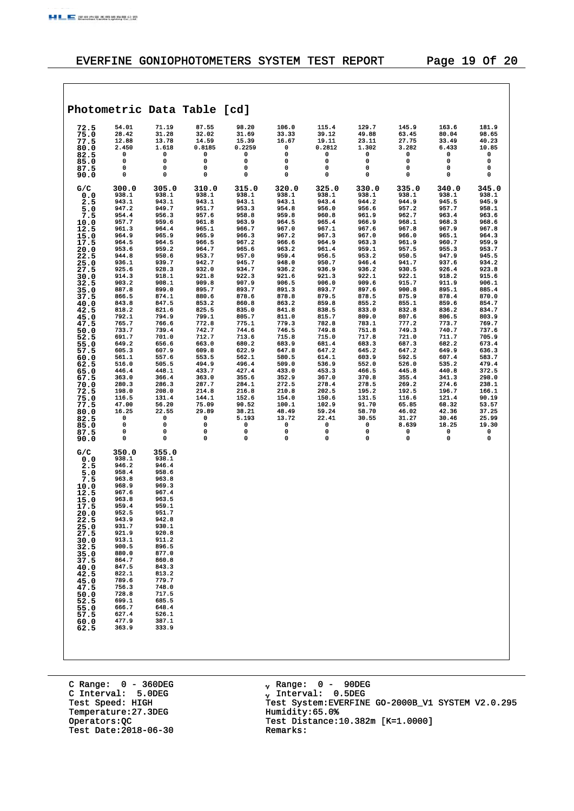$\sqrt{ }$ 

# EVERFINE GONIOPHOTOMETERS SYSTEM TEST REPORT Page 19 Of 20

|                      |                         |                         | Photometric Data Table [cd] |                         |                         |                         |                         |                         |                         |                         |
|----------------------|-------------------------|-------------------------|-----------------------------|-------------------------|-------------------------|-------------------------|-------------------------|-------------------------|-------------------------|-------------------------|
| 72.5<br>75.0<br>77.5 | 54.01<br>28.42<br>12.88 | 71.19<br>31.28<br>13.78 | 87.55<br>32.02<br>14.59     | 98.20<br>31.69<br>15.39 | 106.0<br>33.33<br>16.67 | 115.4<br>39.12<br>19.11 | 129.7<br>49.88<br>23.11 | 145.9<br>63.45<br>27.75 | 163.6<br>80.04<br>33.49 | 181.9<br>98.65<br>40.23 |
| 80.0                 | 2.450<br>0              | 1.618<br>0              | 0.8185<br>0                 | 0.2259<br>0             | 0<br>0                  | 0.2812<br>0             | 1.302<br>0              | 3.282<br>0              | 6.433<br>0              | 10.85<br>0              |
| 82.5<br>85.0         | 0                       | 0                       | 0                           | 0                       | 0                       | 0                       | 0                       | 0                       | 0                       | 0                       |
| 87.5<br>90.0         | 0<br>0                  | 0<br>0                  | 0<br>0                      | 0<br>0                  | 0<br>$\mathbf 0$        | 0<br>$\mathbf 0$        | 0<br>0                  | 0<br>0                  | 0<br>0                  | 0<br>0                  |
|                      |                         |                         |                             |                         |                         |                         |                         |                         |                         |                         |
| G/C<br>0.0           | 300.0<br>938.1          | 305.0<br>938.1          | 310.0<br>938.1              | 315.0<br>938.1          | 320.0<br>938.1          | 325.0<br>938.1          | 330.0<br>938.1          | 335.0<br>938.1          | 340.0<br>938.1          | 345.0<br>938.1          |
| 2.5                  | 943.1                   | 943.1                   | 943.1                       | 943.1                   | 943.1                   | 943.4                   | 944.2                   | 944.9                   | 945.5                   | 945.9                   |
| 5.0<br>7.5           | 947.2<br>954.4          | 949.7<br>956.3          | 951.7<br>957.6              | 953.3<br>958.8          | 954.8<br>959.8          | 956.0<br>960.8          | 956.6<br>961.9          | 957.2<br>962.7          | 957.7<br>963.4          | 958.1<br>963.6          |
| 10.0                 | 957.7                   | 959.6                   | 961.8                       | 963.9                   | 964.5                   | 965.4                   | 966.9                   | 968.1                   | 968.3                   | 968.6                   |
| 12.5<br>15.0         | 961.3<br>964.9          | 964.4<br>965.9          | 965.1<br>965.9              | 966.7<br>966.3          | 967.0<br>967.2          | 967.1<br>967.3          | 967.6<br>967.0          | 967.8<br>966.0          | 967.9<br>965.1          | 967.8<br>964.3          |
| 17.5                 | 964.5                   | 964.5                   | 966.5                       | 967.2                   | 966.6                   | 964.9                   | 963.3                   | 961.9                   | 960.7                   | 959.9                   |
| 20.0<br>22.5         | 953.6<br>944.8          | 959.2<br>950.6          | 964.7<br>953.7              | 965.6<br>957.0          | 963.2<br>959.4          | 961.4<br>956.5          | 959.1<br>953.2          | 957.5<br>950.5          | 955.3<br>947.9          | 953.7<br>945.5          |
| 25.0                 | 936.1                   | 939.7                   | 942.7                       | 945.7                   | 948.0                   | 950.7                   | 946.4                   | 941.7                   | 937.6                   | 934.2                   |
| 27.5<br>30.0         | 925.6<br>914.3          | 928.3<br>918.1          | 932.0<br>921.8              | 934.7<br>922.3          | 936.2<br>921.6          | 936.9<br>921.3          | 936.2<br>922.1          | 930.5<br>922.1          | 926.4<br>918.2          | 923.8<br>915.6          |
| 32.5                 | 903.2                   | 908.1                   | 909.8                       | 907.9                   | 906.5                   | 906.0                   | 909.6                   | 915.7                   | 911.9                   | 906.1                   |
| 35.0<br>37.5         | 887.8<br>866.5          | 899.0<br>874.1          | 895.7<br>880.6              | 893.7<br>878.6          | 891.3<br>878.8          | 893.7<br>879.5          | 897.6<br>878.5          | 900.8<br>875.9          | 895.1<br>878.4          | 885.4<br>870.0          |
| 40.0                 | 843.8                   | 847.5                   | 853.2                       | 860.8                   | 863.2                   | 859.8                   | 855.2                   | 855.1                   | 859.6                   | 854.7                   |
| 42.5                 | 818.2<br>792.1          | 821.6<br>794.9          | 825.5<br>799.1              | 835.0<br>805.7          | 841.8<br>811.0          | 838.5<br>815.7          | 833.0<br>809.0          | 832.8<br>807.6          | 836.2<br>806.5          | 834.7<br>803.9          |
| 45.0<br>47.5         | 765.7                   | 766.6                   | 772.8                       | 775.1                   | 779.3                   | 782.8                   | 783.1                   | 777.2                   | 773.7                   | 769.7                   |
| 50.0                 | 733.7<br>691.7          | 739.4<br>701.0          | 742.7<br>712.7              | 744.6<br>713.6          | 746.5<br>715.8          | 749.8<br>715.0          | 751.8<br>717.8          | 749.3<br>721.0          | 740.7<br>711.7          | 737.6<br>705.9          |
| 52.5<br>55.0         | 649.2                   | 656.6                   | 663.0                       | 680.2                   | 683.9                   | 681.4                   | 683.3                   | 687.3                   | 682.2                   | 673.4                   |
| 57.5                 | 605.3<br>561.1          | 607.9<br>557.6          | 609.8<br>553.5              | 622.9<br>562.1          | 647.8<br>580.5          | 647.2<br>614.1          | 645.2<br>603.9          | 647.2<br>592.5          | 649.9<br>607.4          | 636.3<br>583.7          |
| 60.0<br>62.5         | 516.0                   | 505.5                   | 494.9                       | 496.4                   | 509.0                   | 536.9                   | 552.0                   | 526.0                   | 535.2                   | 479.4                   |
| 65.0                 | 446.4<br>363.0          | 448.1<br>366.4          | 433.7<br>363.0              | 427.4<br>355.6          | 433.0<br>352.9          | 453.3<br>367.0          | 466.5<br>370.8          | 445.8<br>355.4          | 440.8<br>341.3          | 372.5<br>298.0          |
| 67.5<br>70.0         | 280.3                   | 286.3                   | 287.7                       | 284.1                   | 272.5                   | 278.4                   | 278.5                   | 269.2                   | 274.6                   | 238.1                   |
| 72.5                 | 198.0<br>116.5          | 208.0<br>131.4          | 214.8<br>144.1              | 216.8<br>152.6          | 210.8                   | 202.5<br>150.6          | 195.2<br>131.5          | 192.5<br>116.6          | 196.7<br>121.4          | 166.1<br>90.19          |
| 75.0<br>77.5         | 47.00                   | 56.20                   | 75.09                       | 90.52                   | 154.0<br>100.1          | 102.9                   | 91.70                   | 65.85                   | 68.32                   | 53.57                   |
| 80.0                 | 16.25<br>0              | 22.55<br>0              | 29.89<br>0                  | 38.21<br>5.193          | 48.49<br>13.72          | 59.24<br>22.41          | 58.70<br>30.55          | 46.02<br>31.27          | 42.36<br>30.46          | 37.25                   |
| 82.5<br>85.0         | 0                       | 0                       | 0                           | 0                       | 0                       | 0                       | 0                       | 8.639                   | 18.25                   | 25.99<br>19.30          |
| 87.5                 | 0<br>0                  | 0<br>0                  | 0<br>0                      | 0<br>0                  | 0<br>0                  | 0<br>$\mathbf 0$        | 0<br>0                  | 0<br>0                  | 0<br>0                  | 0<br>0                  |
| 90.0                 |                         |                         |                             |                         |                         |                         |                         |                         |                         |                         |
| G/C                  | 350.0<br>938.1          | 355.0<br>938.1          |                             |                         |                         |                         |                         |                         |                         |                         |
| 0.0<br>2.5           | 946.2                   | 946.4                   |                             |                         |                         |                         |                         |                         |                         |                         |
| 5.0                  | 958.4<br>963.8          | 958.6<br>963.8          |                             |                         |                         |                         |                         |                         |                         |                         |
| 7.5<br>10.0          | 968.9                   | 969.3                   |                             |                         |                         |                         |                         |                         |                         |                         |
| 12.5<br>15.0         | 967.6<br>963.8          | 967.4<br>963.5          |                             |                         |                         |                         |                         |                         |                         |                         |
| 17.5                 | 959.4                   | 959.1                   |                             |                         |                         |                         |                         |                         |                         |                         |
| 20.0                 | 952.5<br>943.9          | 951.7<br>942.8          |                             |                         |                         |                         |                         |                         |                         |                         |
| 22.5<br>25.0         | 931.7                   | 930.1                   |                             |                         |                         |                         |                         |                         |                         |                         |
| 27.5                 | 921.9<br>913.1          | 920.8<br>911.2          |                             |                         |                         |                         |                         |                         |                         |                         |
| 30.0<br>32.5         | 900.5                   | 896.5                   |                             |                         |                         |                         |                         |                         |                         |                         |
| 35.0                 | 880.0<br>864.7          | 877.0<br>860.8          |                             |                         |                         |                         |                         |                         |                         |                         |
| 37.5<br>40.0         | 847.5                   | 843.3                   |                             |                         |                         |                         |                         |                         |                         |                         |
| 42.5                 | 822.1<br>789.6          | 813.2<br>779.7          |                             |                         |                         |                         |                         |                         |                         |                         |
| 45.0<br>47.5         | 756.3                   | 748.0                   |                             |                         |                         |                         |                         |                         |                         |                         |
| 50.0                 | 728.8<br>699.1          | 717.5<br>685.5          |                             |                         |                         |                         |                         |                         |                         |                         |
| 52.5<br>55.0         | 666.7                   | 648.4                   |                             |                         |                         |                         |                         |                         |                         |                         |
| 57.5                 | 627.4<br>477.9          | 526.1<br>387.1          |                             |                         |                         |                         |                         |                         |                         |                         |
| 60.0<br>62.5         | 363.9                   | 333.9                   |                             |                         |                         |                         |                         |                         |                         |                         |
|                      |                         |                         |                             |                         |                         |                         |                         |                         |                         |                         |
|                      |                         |                         |                             |                         |                         |                         |                         |                         |                         |                         |
|                      |                         |                         |                             |                         |                         |                         |                         |                         |                         |                         |

C Range: 0 - 360DEG C Interval: 5.0DEG Temperature:27.3DEG Humidity:65.0%<br>Operators: QC Test Distance: Test Date:  $2018-06-30$